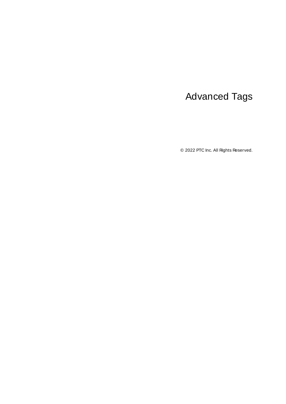# <span id="page-0-0"></span>Advanced Tags

© 2022 PTC Inc. All Rights Reserved.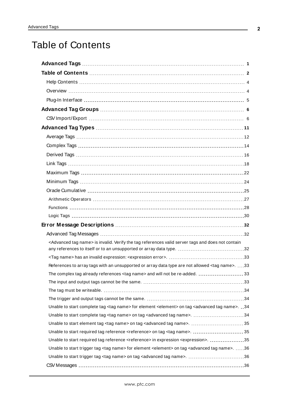# <span id="page-1-0"></span>Table of Contents

| <advanced name="" tag=""> is invalid. Verify the tag references valid server tags and does not contain</advanced>               |  |
|---------------------------------------------------------------------------------------------------------------------------------|--|
|                                                                                                                                 |  |
|                                                                                                                                 |  |
| References to array tags with an unsupported or array data type are not allowed <tag name="">. 33</tag>                         |  |
|                                                                                                                                 |  |
|                                                                                                                                 |  |
|                                                                                                                                 |  |
|                                                                                                                                 |  |
| Unable to start complete tag <tag name=""> for element <element> on tag <advanced name="" tag="">.34</advanced></element></tag> |  |
| Unable to start complete tag <tag name=""> on tag <advanced name="" tag="">. 34</advanced></tag>                                |  |
|                                                                                                                                 |  |
|                                                                                                                                 |  |
| Unable to start required tag reference <reference> in expression <expression>. 35</expression></reference>                      |  |
| Unable to start trigger tag <tag name=""> for element <element> on tag <advanced name="" tag="">. 36</advanced></element></tag> |  |
| Unable to start trigger tag <tag name=""> on tag <advanced name="" tag="">. 36</advanced></tag>                                 |  |
|                                                                                                                                 |  |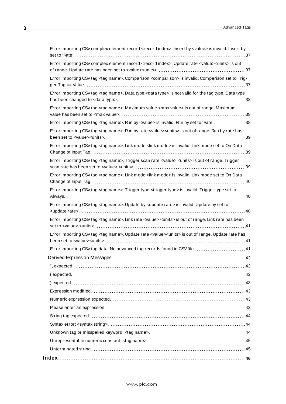| Error importing CSV complex element record <record index="">. Insert by <value> is invalid. Insert by</value></record>     |
|----------------------------------------------------------------------------------------------------------------------------|
| Error importing CSV complex element record <record index="">. Update rate <value><units> is out</units></value></record>   |
| Error importing CSV tag <tag name="">. Comparison <comparison> is invalid. Comparison set to Trig-</comparison></tag>      |
| Error importing CSV tag <tag name="">. Data type <data type=""> is not valid for the tag type. Data type</data></tag>      |
| Error importing CSV tag <tag name="">. Maximum value <max value=""> is out of range. Maximum</max></tag>                   |
| Error importing CSV tag <tag name="">. Run by <value> is invalid. Run by set to 'Rate'. 38</value></tag>                   |
| Error importing CSV tag <tag name="">. Run by rate <value><units> is out of range. Run by rate has</units></value></tag>   |
| Error importing CSV tag <tag name="">. Link mode <link mode=""/> is invalid. Link mode set to On Data</tag>                |
| Error importing CSV tag <tag name="">. Trigger scan rate <value> <units> is out of range. Trigger</units></value></tag>    |
| Error importing CSV tag <tag name="">. Link mode <link mode=""/> is invalid. Link mode set to On Data</tag>                |
| Error importing CSV tag <tag name="">. Trigger type <trigger type=""> is invalid. Trigger type set to</trigger></tag>      |
| Error importing CSV tag <tag name="">. Update by <update rate=""> is invalid. Update by set to</update></tag>              |
| Error importing CSV tag <tag name="">. Link rate <value> <units> is out of range. Link rate has been</units></value></tag> |
| Error importing CSV tag <tag name="">. Update rate <value><units> is out of range. Update rate has</units></value></tag>   |
| Error importing CSV tag data. No advanced tag records found in CSV file.  41                                               |
|                                                                                                                            |
|                                                                                                                            |
|                                                                                                                            |
|                                                                                                                            |
|                                                                                                                            |
|                                                                                                                            |
|                                                                                                                            |
|                                                                                                                            |
|                                                                                                                            |
|                                                                                                                            |
|                                                                                                                            |
|                                                                                                                            |
|                                                                                                                            |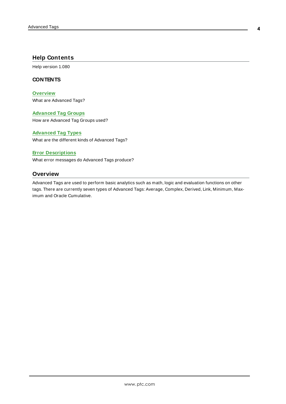### <span id="page-3-0"></span>**Help Contents**

Help version 1.080

### **CONTENTS**

**[Overview](#page-3-1)** What are Advanced Tags?

**[Advanced](#page-5-0) Tag Groups** How are Advanced Tag Groups used?

### **[Advanced](#page-10-0) Tag Types**

What are the different kinds of Advanced Tags?

### **Error [Descriptions](#page-31-0)**

<span id="page-3-1"></span>What error messages do Advanced Tags produce?

### **Overview**

Advanced Tags are used to perform basic analytics such as math, logic and evaluation functions on other tags. There are currently seven types of Advanced Tags: Average, Complex, Derived, Link, Minimum, Maximum and Oracle Cumulative.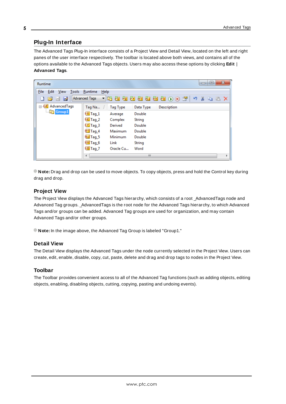# <span id="page-4-0"></span>**Plug-In Interface**

The Advanced Tags Plug-In interface consists of a Project View and Detail View, located on the left and right panes of the user interface respectively. The toolbar is located above both views, and contains all of the options available to the Advanced Tags objects. Users may also access these options by clicking **Edit** | **Advanced Tags**.

| Runtime                                                                       |                                                                                                                                                                                                                                                     |                                                                                                           | $\mathbf{x}$<br>▣<br>U |
|-------------------------------------------------------------------------------|-----------------------------------------------------------------------------------------------------------------------------------------------------------------------------------------------------------------------------------------------------|-----------------------------------------------------------------------------------------------------------|------------------------|
| <b>View</b><br>Edit<br>Tools<br>File<br>- 1<br>$\Rightarrow$<br>d             | Runtime<br>He<br><b>Advanced Tags</b>                                                                                                                                                                                                               |                                                                                                           | りるもあ×                  |
| <b>E</b> <sup></sup> eA <sup>+</sup> AdvancedTags<br><b>Contract Security</b> | Tag Na $\sqrt{ }$<br><b>Tag Type</b><br>$\sqrt[6]{7}$ Tag_1<br>Average<br>$eC$ Tag_2<br>Complex<br>$\sqrt{7}$ Tag_3<br>Derived<br><sup>en</sup> Tag_4<br>Maximum<br>et Tag_5<br>Minimum<br><b>exc</b> Tag_6<br>Link<br>$60$ Tag_7<br>Oracle Cu<br>∢ | Data Type<br><b>Description</b><br>Double<br>String<br>Double<br>Double<br>Double<br>String<br>Word<br>m. | r                      |

**Note:** Drag and drop can be used to move objects. To copy objects, press and hold the Control key during drag and drop.

### **Project View**

The Project View displays the Advanced Tags hierarchy, which consists of a root \_AdvancedTags node and Advanced Tag groups. \_AdvancedTags is the root node for the Advanced Tags hierarchy, to which Advanced Tags and/or groups can be added. Advanced Tag groups are used for organization, and may contain Advanced Tags and/or other groups.

**Note:** In the image above, the Advanced Tag Group is labeled "Group1."

### **Detail View**

The Detail View displays the Advanced Tags under the node currently selected in the Project View. Users can create, edit, enable, disable, copy, cut, paste, delete and drag and drop tags to nodes in the Project View.

### **Toolbar**

The Toolbar provides convenient access to all of the Advanced Tag functions (such as adding objects, editing objects, enabling, disabling objects, cutting, copying, pasting and undoing events).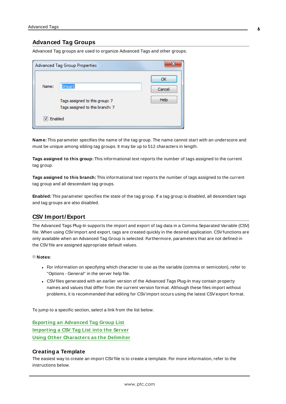### <span id="page-5-0"></span>**Advanced Tag Groups**

Advanced Tag groups are used to organize Advanced Tags and other groups.

|         | <b>Advanced Tag Group Properties</b>                                        | x                           |
|---------|-----------------------------------------------------------------------------|-----------------------------|
| Name:   | Group1<br>Tags assigned to this group: 7<br>Tags assigned to this branch: 7 | ОК<br>Cancel<br><b>Help</b> |
| Enabled |                                                                             |                             |

**Name:** This parameter specifies the name of the tag group. The name cannot start with an underscore and must be unique among sibling tag groups. It may be up to 512 characters in length.

**Tags assigned to this group:** This informational text reports the number of tags assigned to the current tag group.

**Tags assigned to this branch:** This informational text reports the number of tags assigned to the current tag group and all descendant tag groups.

**Enabled:** This parameter specifies the state of the tag group. If a tag group is disabled, all descendant tags and tag groups are also disabled.

# <span id="page-5-1"></span>**CSV Import/ Export**

The Advanced Tags Plug-In supports the import and export of tag data in a Comma Separated Variable (CSV) file. When using CSVimport and export, tags are created quickly in the desired application. CSVfunctions are only available when an Advanced Tag Group is selected. Furthermore, parameters that are not defined in the CSVfile are assigned appropriate default values.

#### **Notes:**

- For information on specifying which character to use as the variable (comma or semicolon), refer to "Options - General" in the server help file.
- CSV files generated with an earlier version of the Advanced Tags Plug-In may contain property names and values that differ from the current version format. Although these files import without problems, it is recommended that editing for CSV import occurs using the latest CSV export format.

To jump to a specific section, select a link from the list below.

**Exporting an [Advanced](#page-6-0) Tag Group List [Importing](#page-9-0) a CSV Tag List into the Server Using Other [Characters](#page-9-1) as the Delimiter**

### **Creating a Template**

The easiest way to create an import CSVfile is to create a template. For more information, refer to the instructions below.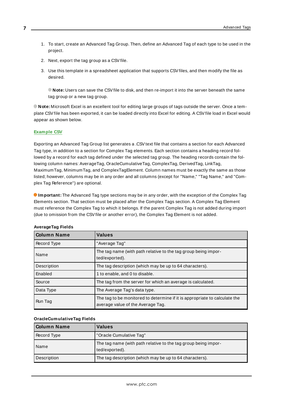- 1. To start, create an Advanced Tag Group. Then, define an Advanced Tag of each type to be used in the project.
- <span id="page-6-0"></span>2. Next, export the tag group as a CSV file.
- 3. Use this template in a spreadsheet application that supports CSVfiles, and then modify the file as desired.

**Note:** Users can save the CSVfile to disk, and then re-import it into the server beneath the same tag group or a new tag group.

**Note:** Microsoft Excel is an excellent tool for editing large groups of tags outside the server. Once a template CSVfile has been exported, it can be loaded directly into Excel for editing. A CSVfile load in Excel would appear as shown below.

### **[Example](#page-9-2) CSV**

Exporting an Advanced Tag Group list generates a .CSVtext file that contains a section for each Advanced Tag type, in addition to a section for Complex Tag elements. Each section contains a heading record followed by a record for each tag defined under the selected tag group. The heading records contain the following column names: AverageTag, OracleCumulativeTag, ComplexTag, DerivedTag, LinkTag, MaximumTag, MinimumTag, and ComplexTagElement. Column names must be exactly the same as those listed; however, columns may be in any order and all columns (except for "Name," "Tag Name," and "Complex Tag Reference") are optional.

**Important:** The Advanced Tag type sections may be in any order, with the exception of the Complex Tag Elements section. That section must be placed after the Complex Tags section. A Complex Tag Element must reference the Complex Tag to which it belongs. If the parent Complex Tag is not added during import (due to omission from the CSV file or another error), the Complex Tag Element is not added.

| <b>Column Name</b> | <b>Values</b>                                                                                                   |
|--------------------|-----------------------------------------------------------------------------------------------------------------|
| Record Type        | "Average Tag"                                                                                                   |
| Name               | The tag name (with path relative to the tag group being impor-<br>ted/exported).                                |
| Description        | The tag description (which may be up to 64 characters).                                                         |
| Enabled            | 1 to enable, and 0 to disable.                                                                                  |
| Source             | The tag from the server for which an average is calculated.                                                     |
| Data Type          | The Average Tag's data type.                                                                                    |
| Run Tag            | The tag to be monitored to determine if it is appropriate to calculate the<br>average value of the Average Tag. |

#### **AverageTag Fields**

#### **OracleCumulativeTag Fields**

| l Column Name | <b>Values</b>                                                                    |
|---------------|----------------------------------------------------------------------------------|
| Record Type   | "Oracle Cumulative Tag"                                                          |
| Name          | The tag name (with path relative to the tag group being impor-<br>ted/exported). |
| Description   | The tag description (which may be up to 64 characters).                          |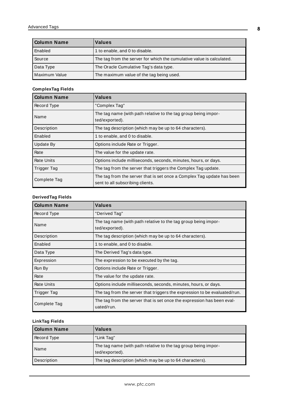| Column Name   | <b>Values</b>                                                         |
|---------------|-----------------------------------------------------------------------|
| Enabled       | 1 to enable, and 0 to disable.                                        |
| Source        | The tag from the server for which the cumulative value is calculated. |
| Data Type     | The Oracle Cumulative Tag's data type.                                |
| Maximum Value | The maximum value of the tag being used.                              |

### **ComplexTag Fields**

| <b>Column Name</b> | <b>Values</b>                                                                                              |
|--------------------|------------------------------------------------------------------------------------------------------------|
| Record Type        | "Complex Tag"                                                                                              |
| Name               | The tag name (with path relative to the tag group being impor-<br>ted/exported).                           |
| Description        | The tag description (which may be up to 64 characters).                                                    |
| Enabled            | 1 to enable, and 0 to disable.                                                                             |
| Update By          | Options include Rate or Trigger.                                                                           |
| Rate               | The value for the update rate.                                                                             |
| <b>Rate Units</b>  | Options include milliseconds, seconds, minutes, hours, or days.                                            |
| Trigger Tag        | The tag from the server that triggers the Complex Tag update.                                              |
| Complete Tag       | The tag from the server that is set once a Complex Tag update has been<br>sent to all subscribing clients. |

# **DerivedTag Fields**

| <b>Column Name</b> | <b>Values</b>                                                                        |
|--------------------|--------------------------------------------------------------------------------------|
| Record Type        | "Derived Tag"                                                                        |
| Name               | The tag name (with path relative to the tag group being impor-<br>ted/exported).     |
| Description        | The tag description (which may be up to 64 characters).                              |
| Enabled            | 1 to enable, and 0 to disable.                                                       |
| Data Type          | The Derived Tag's data type.                                                         |
| Expression         | The expression to be executed by the tag.                                            |
| Run By             | Options include Rate or Trigger.                                                     |
| Rate               | The value for the update rate.                                                       |
| <b>Rate Units</b>  | Options include milliseconds, seconds, minutes, hours, or days.                      |
| Trigger Tag        | The tag from the server that triggers the expression to be evaluated/run.            |
| Complete Tag       | The tag from the server that is set once the expression has been eval-<br>uated/run. |

# **LinkTag Fields**

| l Column Name | <b>Values</b>                                                                    |
|---------------|----------------------------------------------------------------------------------|
| Record Type   | "Link Tag"                                                                       |
| Name          | The tag name (with path relative to the tag group being impor-<br>ted/exported). |
| Description   | The tag description (which may be up to 64 characters).                          |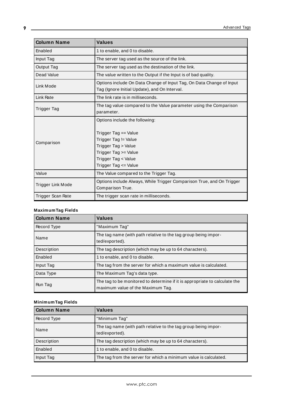| <b>Column Name</b> | <b>Values</b>                                                                                                                                                                |
|--------------------|------------------------------------------------------------------------------------------------------------------------------------------------------------------------------|
| Enabled            | 1 to enable, and 0 to disable.                                                                                                                                               |
| Input Tag          | The server tag used as the source of the link.                                                                                                                               |
| Output Tag         | The server tag used as the destination of the link.                                                                                                                          |
| Dead Value         | The value written to the Output if the Input is of bad quality.                                                                                                              |
| Link Mode          | Options include On Data Change of Input Tag, On Data Change of Input<br>Tag (Ignore Initial Update), and On Interval.                                                        |
| Link Rate          | The link rate is in milliseconds.                                                                                                                                            |
| <b>Trigger Tag</b> | The tag value compared to the Value parameter using the Comparison<br>parameter.                                                                                             |
| Comparison         | Options include the following:<br>Trigger Tag == Value<br>Trigger Tag != Value<br>Trigger Tag > Value<br>Trigger Tag >= Value<br>Trigger Tag < Value<br>Trigger Tag <= Value |
| Value              | The Value compared to the Trigger Tag.                                                                                                                                       |
| Trigger Link Mode  | Options include Always, While Trigger Comparison True, and On Trigger<br>Comparison True.                                                                                    |
| Trigger Scan Rate  | The trigger scan rate in milliseconds.                                                                                                                                       |

# **MaximumTag Fields**

| <b>Column Name</b> | <b>Values</b>                                                                                                   |
|--------------------|-----------------------------------------------------------------------------------------------------------------|
| Record Type        | "Maximum Tag"                                                                                                   |
| Name               | The tag name (with path relative to the tag group being impor-<br>ted/exported).                                |
| Description        | The tag description (which may be up to 64 characters).                                                         |
| Enabled            | 1 to enable, and 0 to disable.                                                                                  |
| Input Tag          | The tag from the server for which a maximum value is calculated.                                                |
| Data Type          | The Maximum Tag's data type.                                                                                    |
| Run Tag            | The tag to be monitored to determine if it is appropriate to calculate the<br>maximum value of the Maximum Tag. |

# **MinimumTag Fields**

| <b>Column Name</b> | <b>Values</b>                                                                    |
|--------------------|----------------------------------------------------------------------------------|
| Record Type        | "Minimum Tag"                                                                    |
| Name               | The tag name (with path relative to the tag group being impor-<br>ted/exported). |
| Description        | The tag description (which may be up to 64 characters).                          |
| Enabled            | 1 to enable, and 0 to disable.                                                   |
| Input Tag          | The tag from the server for which a minimum value is calculated.                 |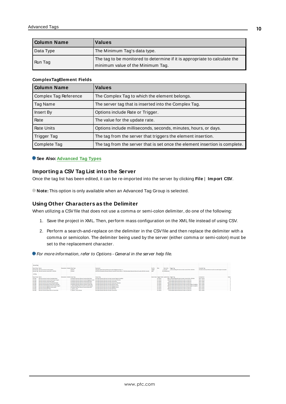| Column Name | <b>Values</b>                                                                                                   |
|-------------|-----------------------------------------------------------------------------------------------------------------|
| Data Type   | The Minimum Tag's data type.                                                                                    |
| Run Tag     | The tag to be monitored to determine if it is appropriate to calculate the<br>minimum value of the Minimum Tag. |

#### **ComplexTagElement Fields**

| <b>Column Name</b>    | <b>Values</b>                                                               |
|-----------------------|-----------------------------------------------------------------------------|
| Complex Tag Reference | The Complex Tag to which the element belongs.                               |
| Tag Name              | The server tag that is inserted into the Complex Tag.                       |
| Insert By             | Options include Rate or Trigger.                                            |
| Rate                  | The value for the update rate.                                              |
| <b>Rate Units</b>     | Options include milliseconds, seconds, minutes, hours, or days.             |
| Trigger Tag           | The tag from the server that triggers the element insertion.                |
| Complete Tag          | The tag from the server that is set once the element insertion is complete. |

### <span id="page-9-0"></span>**See Also: [Advanced](#page-10-0) Tag Types**

### **Importing a CSV Tag List into the Server**

Once the tag list has been edited, it can be re-imported into the server by clicking **File** | **Import CSV**.

<span id="page-9-1"></span>**Note:** This option is only available when an Advanced Tag Group is selected.

### **Using Other Characters as the Delimiter**

When utilizing a CSV file that does not use a comma or semi-colon delimiter, do one of the following:

- 1. Save the project in XML. Then, perform mass configuration on the XML file instead of using CSV.
- <span id="page-9-2"></span>2. Perform a search-and-replace on the delimiter in the CSVfile and then replace the delimiter with a comma or semicolon. The delimiter being used by the server (either comma or semi-colon) must be set to the replacement character.

For more information, refer to Options - General in the server help file.

| : DerivedTag            |                                                  |                               |                                                    |                                                                                                                    |               |          |                                                 |                                                               |                                                          |       |
|-------------------------|--------------------------------------------------|-------------------------------|----------------------------------------------------|--------------------------------------------------------------------------------------------------------------------|---------------|----------|-------------------------------------------------|---------------------------------------------------------------|----------------------------------------------------------|-------|
|                         |                                                  |                               |                                                    |                                                                                                                    |               |          |                                                 |                                                               |                                                          |       |
| Record Type Name        |                                                  | Description Enabled Data Type |                                                    | Expression                                                                                                         | <b>Run By</b> | Rate     | <b>Rate Units Tripper Tag</b>                   |                                                               | Complete Tag                                             |       |
|                         | Derived Tag Mirute Counter.Counter Engine        |                               | 1 DWord                                            | TAG (Simulator,Device), Minute Counter, Staging Counter) + 1                                                       | Trigger       |          | 1 seconds                                       | AdvancedTags, Minute Counter, Current Min y Old Min           | Simulator Device1.Minute Counter.Counter Engine Complete |       |
|                         | Derived Tag Minute Counter.Current Min v Old Min |                               | 1 DWood                                            | NOTITAG (Simulator,Device), Minute Counter,Current Min) us T&G (Simulator,Device), Minute Counter, Old Min Count?) | Rate          |          | SO milliteconds                                 |                                                               |                                                          |       |
|                         |                                                  |                               |                                                    |                                                                                                                    |               |          |                                                 |                                                               |                                                          |       |
| <b>LinkTeg</b>          |                                                  |                               |                                                    |                                                                                                                    |               |          |                                                 |                                                               |                                                          |       |
|                         |                                                  |                               |                                                    |                                                                                                                    |               |          |                                                 |                                                               |                                                          |       |
| <b>Record Type Name</b> |                                                  | Description Enabled Input Tag |                                                    | Output Tag                                                                                                         |               |          | Dead Value Tripper Mode Update Rate Tripper Tag |                                                               | Comparison                                               | Value |
| Link Tag                | Minute Counter, Counter Complete Repet           |                               | 1 Simulator.Device1.Minute Counter.Static Zero     | Simulator Device1. Minute Counter Counter Engine Complete                                                          |               | On Value |                                                 | 5000 AdvancedTags.Minute Counter.Current Min y Old Min        | Tag on Value                                             |       |
| Link Tag                | Minute Counter, Counter Final Output Frigine     |                               | 1 Simulator.Device1.Minute Counter.Staging Counter | Simulator Device L.Minute Counter Final Count Minutes                                                              |               | On Value |                                                 | 1000 Simulator.Device1.Minute Counter.In Cycle Sim            | Tag as Value                                             |       |
| Link Tag                | Minute Counter, Current Min Reset                |                               | 1 Simulator Device1 Minute Counter Static Zero     | Simulator Device1. Minute Counter Current Min                                                                      |               | On Value |                                                 | 50 Simulator.Device1.Minute Counter.In Cycle Sim              | Tag I= Value                                             |       |
| Link Tag                | Minute Counter, Final Count Minutes Reset        |                               | 1 Simulator.Device1.Minute Counter.Static Zero     | Simulator Device1 Minute Counter Final Count Minutes                                                               |               | On Value |                                                 | 3000 Simulator.Device1.Minute Counter.In Cycle Sim            | Tag != Value                                             |       |
| Link Tag                | Minute Counter, Move Current Min to Old Min      |                               | 1 Simulator.Device1.Minute Counter.Current Min     | Simulator.Device1.Minute Counter.Old Min Count                                                                     |               | On Value |                                                 | 500 Simulator Device1.Minute Counter Counter Engine Complete  | Tag != Value                                             |       |
| Link Tag                | Minute Counter, Staging Counter Output Engine    |                               | AdvancedTags Minute Counter Counter Engine         | Simulator.Device1.Minute Counter.Staging Counter                                                                   |               | On Value |                                                 | 1000 Simulator Device1.Minute Counter Counter Engine Complete | Tag In Value                                             |       |
| Link Tag                | Minute Counter, Staging Counter Reset            |                               | 1 Simulator.Device1.Minute Counter.Static Zero     | Simulator.Device1.Minute Counter.Staging Counter                                                                   |               | On Value |                                                 | 500 Simulator Device1.Minute Counter In Oycle Sim             | Tag In Value                                             |       |
| Link Tag                | Minute Counter Start Time                        |                               | System Time                                        | Simulator Device1. Minute Counter Start Time                                                                       |               | On Value |                                                 | 1000 Simulator Device1.Minute Counter.In Oycle Sim            | <b>Tag In Value</b>                                      |       |
| Link Tag                | Minute Counter. System Min to Current Min        |                               | System. Time Minute                                | Simulator Device1. Minute Counter Current Min                                                                      |               | On Value |                                                 | 50 Simulator.Device1.Minute Counter.In Cycle Sim              | Tag Is Value                                             |       |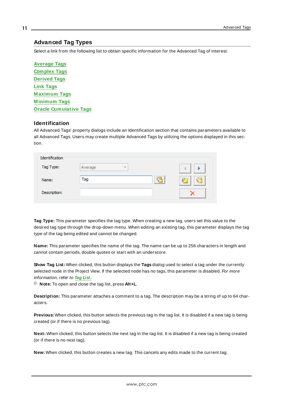# <span id="page-10-0"></span>**Advanced Tag Types**

Select a link from the following list to obtain specific information for the Advanced Tag of interest.

**[Average](#page-11-0) Tags [Complex](#page-13-0) Tags [Derived](#page-15-0) Tags Link [Tags](#page-17-0) [M aximum](#page-21-0) Tags [M inimum](#page-23-0) Tags Oracle [Cumulative](#page-24-0) Tags**

### **Identification**

All Advanced Tags' property dialogs include an Identification section that contains parameters available to all Advanced Tags. Users may create multiple Advanced Tags by utilizing the options displayed in this section.

| Identification |              |        |
|----------------|--------------|--------|
| Tag Type:      | Average<br>÷ |        |
| Name:          | Tag          | P<br>- |
| Description:   |              |        |

**Tag Type:** This parameter specifies the tag type. When creating a new tag, users set this value to the desired tag type through the drop-down menu. When editing an existing tag, this parameter displays the tag type of the tag being edited and cannot be changed.

**Name:** This parameter specifies the name of the tag. The name can be up to 256 characters in length and cannot contain periods, double quotes or start with an underscore.

**Show Tag List:** When clicked, this button displays the **Tags** dialog used to select a tag under the currently selected node in the Project View. If the selected node has no tags, this parameter is disabled. For more information, refer to **Tag [List.](#page-11-1)**

**Note:** To open and close the tag list, press **Alt+L**.

**Description:** This parameter attaches a comment to a tag. The description may be a string of up to 64 characters.

**Previous:** When clicked, this button selects the previous tag in the tag list. It is disabled if a new tag is being created (or if there is no previous tag).

**Next:** When clicked, this button selects the next tag in the tag list. It is disabled if a new tag is being created (or if there is no next tag).

**New:** When clicked, this button creates a new tag. This cancels any edits made to the current tag.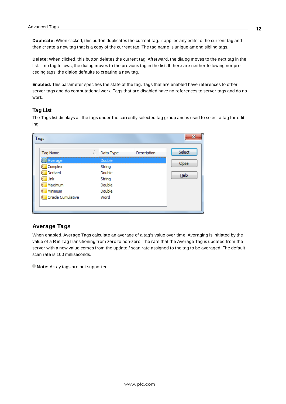**Duplicate:** When clicked, this button duplicates the current tag. It applies any edits to the current tag and then create a new tag that is a copy of the current tag. The tag name is unique among sibling tags.

**Delete:** When clicked, this button deletes the current tag. Afterward, the dialog moves to the next tag in the list. If no tag follows, the dialog moves to the previous tag in the list. If there are neither following nor preceding tags, the dialog defaults to creating a new tag.

<span id="page-11-1"></span>**Enabled:** This parameter specifies the state of the tag. Tags that are enabled have references to other server tags and do computational work. Tags that are disabled have no references to server tags and do no work.

### **Tag List**

The Tags list displays all the tags under the currently selected tag group and is used to select a tag for editing.

| Tags              |           |             | x      |
|-------------------|-----------|-------------|--------|
| <b>Tag Name</b>   | Data Type | Description | Select |
| Average)          | Double    |             |        |
| Complex           | String    |             | Close  |
| Derived           | Double    |             | Help   |
| Link              | String    |             |        |
| Maximum<br>ь      | Double    |             |        |
| Minimum           | Double    |             |        |
| Oracle Cumulative | Word      |             |        |
|                   |           |             |        |
|                   |           |             |        |

# <span id="page-11-0"></span>**Average Tags**

When enabled, Average Tags calculate an average of a tag's value over time. Averaging is initiated by the value of a Run Tag transitioning from zero to non-zero. The rate that the Average Tag is updated from the server with a new value comes from the update / scan rate assigned to the tag to be averaged. The default scan rate is 100 milliseconds.

**Note:** Array tags are not supported.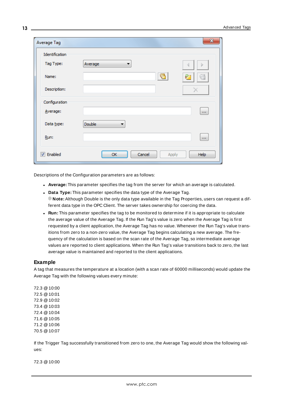| Average Tag      |               |       | $\mathbf{x}$ |
|------------------|---------------|-------|--------------|
| Identification   |               |       |              |
| Tag Type:        | Average<br>▼  |       | Þ            |
| Name:            |               | ₹     | æ            |
| Description:     |               |       |              |
| Configuration    |               |       |              |
| Average:         |               |       | $\mathbf{r}$ |
| Data type:       | <b>Double</b> |       |              |
| Run:             |               |       | $\mathbf{r}$ |
| <b>V</b> Enabled | OK<br>Cancel  | Apply | Help         |

Descriptions of the Configuration parameters are as follows:

- **Average:** This parameter specifies the tag from the server for which an average is calculated.
- **.** Data **Type:** This parameter specifies the data type of the Average Tag. **Note:** Although Double is the only data type available in the Tag Properties, users can request a different data type in the OPC Client. The server takes ownership for coercing the data.
- **Run:** This parameter specifies the tag to be monitored to determine if it is appropriate to calculate the average value of the Average Tag. If the Run Tag's value is zero when the Average Tag is first requested by a client application, the Average Tag has no value. Whenever the Run Tag's value transitions from zero to a non-zero value, the Average Tag begins calculating a new average. The frequency of the calculation is based on the scan rate of the Average Tag, so intermediate average values are reported to client applications. When the Run Tag's value transitions back to zero, the last average value is maintained and reported to the client applications.

#### **Example**

A tag that measures the temperature at a location (with a scan rate of 60000 milliseconds) would update the Average Tag with the following values every minute:

72.3 @10:00 72.5 @10:01 72.9 @10:02 73.4 @10:03 72.4 @10:04 71.6 @10:05 71.2 @10:06 70.5 @10:07

If the Trigger Tag successfully transitioned from zero to one, the Average Tag would show the following values:

72.3 @10:00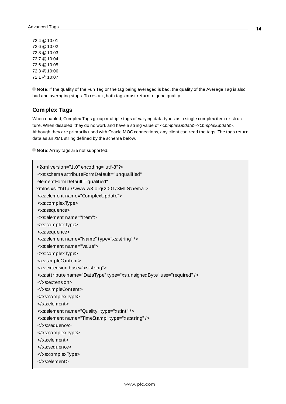72.4 @10:01 72.6 @10:02 72.8 @10:03 72.7 @10:04 72.6 @10:05 72.3 @10:06 72.1 @10:07

**Note:** If the quality of the Run Tag or the tag being averaged is bad, the quality of the Average Tag is also bad and averaging stops. To restart, both tags must return to good quality.

### <span id="page-13-2"></span><span id="page-13-0"></span>**Complex Tags**

When enabled, Complex Tags group multiple tags of varying data types as a single complex item or structure. When disabled, they do no work and have a string value of <ComplexUpdate></ComplexUpdate>. Although they are primarily used with Oracle MOC connections, any client can read the tags. The tags return data as an XML string defined by the schema below.

**Note:** Array tags are not supported.

```
<?xml version="1.0" encoding="utf-8"?>
<xs:schema attributeFormDefault="unqualified"
elementFormDefault="qualified"
xmlns:xs="http://www.w3.org/2001/XMLSchema">
 <xs:element name="ComplexUpdate">
 <xs:complexType>
 <xs:sequence>
 <xs:element name="Item">
 <xs:complexType>
 <xs:sequence>
 <xs:element name="Name" type="xs:string" />
 <xs:element name="Value">
 <xs:complexType>
 <xs:simpleContent>
 <xs:extension base="xs:string">
 <xs:attribute name="DataType" type="xs:unsignedByte" use="required" />
 </xs:extension>
 </xs:simpleContent>
 </xs:complexType>
 </xs:element>
 <xs:element name="Quality" type="xs:int" />
<xs:element name="TimeStamp" type="xs:string" />
 </xs:sequence>
 </xs:complexType>
 </xs:element>
 </xs:sequence>
 </xs:complexType>
 </xs:element>
```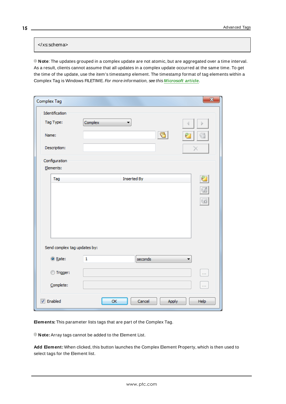### </xs:schema>

<span id="page-14-1"></span>**Note**: The updates grouped in a complex update are not atomic, but are aggregated over a time interval. As a result, clients cannot assume that all updates in a complex update occurred at the same time. To get the time of the update, use the item's timestamp element. The timestamp format of tag elements within a Complex Tag is Windows FILETIME. For more information, see this **[Microsoft](https://docs.microsoft.com/en-us/windows/win32/api/minwinbase/ns-minwinbase-filetime) article**.

| Complex Tag                  |                    | $\mathbf{x}$            |
|------------------------------|--------------------|-------------------------|
| Identification<br>Tag Type:  | Complex<br>۰       |                         |
| Name:                        | c                  |                         |
| Description:                 |                    |                         |
| Configuration<br>Elements:   |                    |                         |
| Tag                          | <b>Inserted By</b> | Ø                       |
|                              |                    | Ø                       |
|                              |                    | $\overline{\mathbb{C}}$ |
|                              |                    |                         |
|                              |                    |                         |
|                              |                    |                         |
| Send complex tag updates by: |                    |                         |
| ◎ Rate:                      | 1<br>seconds       |                         |
| ◎ Trigger:                   |                    | $\mathbf{r}$            |
| Complete:                    |                    | $\mathbf{r}$            |
| $\sqrt{ }$ Enabled           | OK<br>Cancel       | Help<br>Apply           |

**Elements:** This parameter lists tags that are part of the Complex Tag.

<span id="page-14-0"></span>**Note:** Array tags cannot be added to the Element List.

**Add Element:** When clicked, this button launches the Complex Element Property, which is then used to select tags for the Element list.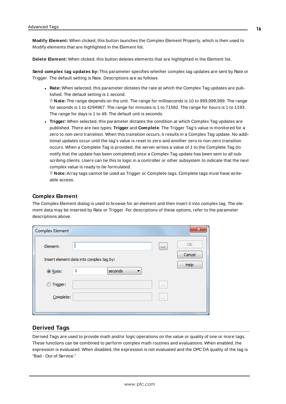<span id="page-15-2"></span>**Modify Element:** When clicked, this button launches the Complex Element Property, which is then used to Modify elements that are highlighted in the Element list.

<span id="page-15-1"></span>**Delete Element:** When clicked, this button deletes elements that are highlighted in the Element list.

**Send complex tag updates by:** This parameter specifies whether complex tag updates are sent by Rate or Trigger. The default setting is Rate. Descriptions are as follows:

<span id="page-15-3"></span><sup>l</sup> **Rate:** When selected, this parameter dictates the rate at which the Complex Tag updates are published. The default setting is 1 second.

**Note:** The range depends on the unit. The range for milliseconds is 10 to 999,999,999. The range for seconds is 1 to 4294967. The range for minutes is 1 to 71582. The range for hours is 1 to 1193. The range for days is 1 to 49. The default unit is seconds.

<span id="page-15-4"></span>**Trigger:** When selected, this parameter dictates the condition at which Complex Tag updates are published. There are two types: **Trigger** and **Complete**. The Trigger Tag's value is monitored for a zero to non-zero transition. When this transition occurs, it results in a Complex Tag update. No additional updates occur until the tag's value is reset to zero and another zero to non-zero transition occurs. When a Complete Tag is provided, the server writes a value of 1 to the Complete Tag (to notify that the update has been completed) once a Complex Tag update has been sent to all subscribing clients. Users can tie this to logic in a controller or other subsystem to indicate that the next complex value is ready to be formulated.

**Note:** Array tags cannot be used as Trigger or Complete tags. Complete tags must have writeable access.

### **Complex Element**

The Complex Element dialog is used to browse for an element and then insert it into complex tag. The element data may be inserted by Rate or Trigger. For descriptions of these options, refer to the parameter descriptions above.

| <b>Complex Element</b> |                                          |                  | x            |
|------------------------|------------------------------------------|------------------|--------------|
| Element:               |                                          | $\mathbf{r}$ and | OK<br>Cancel |
|                        | Insert element data into complex tag by: |                  |              |
| ◎ Rate:                | seconds<br>1<br>▼                        |                  | Help         |
| Trigger:               |                                          | 111              |              |
| Complete:              |                                          | 111              |              |
|                        |                                          |                  |              |

### <span id="page-15-0"></span>**Derived Tags**

Derived Tags are used to provide math and/or logic operations on the value or quality of one or more tags. These functions can be combined to perform complex math routines and evaluations. When enabled, the expression is evaluated. When disabled, the expression is not evaluated and the OPC DA quality of the tag is "Bad - Out of Service."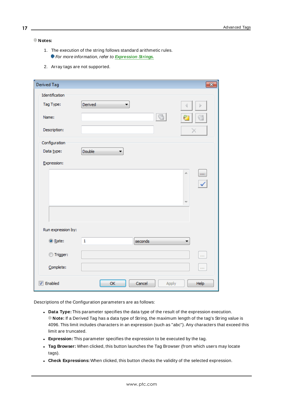#### **Notes:**

- 1. The execution of the string follows standard arithmetic rules. **For more information, refer to [Expression](#page-17-1) Strings.**
- 2. Array tags are not supported.

| Derived Tag        |                         | $\overline{\mathbf{x}}$                   |
|--------------------|-------------------------|-------------------------------------------|
| Identification     |                         |                                           |
| Tag Type:          | Derived<br>▼            |                                           |
| Name:              | 긁                       |                                           |
| Description:       |                         | х                                         |
| Configuration      |                         |                                           |
| Data type:         | Double                  |                                           |
| Expression:        |                         |                                           |
|                    | À.                      | $\dot{\alpha}$<br>$\overline{\checkmark}$ |
| Run expression by: |                         |                                           |
| ◎ Rate:            | $\mathbf{1}$<br>seconds |                                           |
| ◎ Trigger:         |                         | <b>COL</b>                                |
| Complete:          |                         | $\mathbf{r}$                              |
| <b>V</b> Enabled   | OK<br>Cancel<br>Apply   | Help                                      |

Descriptions of the Configuration parameters are as follows:

- **.** Data Type: This parameter specifies the data type of the result of the expression execution. **Note:** If a Derived Tag has a data type of String, the maximum length of the tag's String value is 4096. This limit includes characters in an expression (such as "abc"). Any characters that exceed this limit are truncated.
- **Expression:** This parameter specifies the expression to be executed by the tag.
- <sup>l</sup> **Tag Browser:** When clicked, this button launches the Tag Browser (from which users may locate tags).
- **Check Expressions:** When clicked, this button checks the validity of the selected expression.

**17**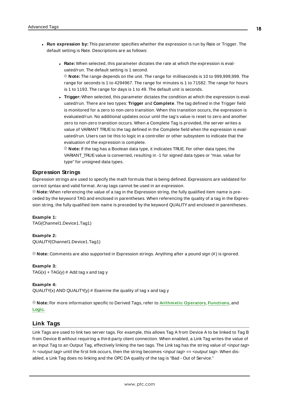- **Run expression by:** This parameter specifies whether the expression is run by Rate or Trigger. The default setting is Rate. Descriptions are as follows:
	- **Rate:** When selected, this parameter dictates the rate at which the expression is evaluated/run. The default setting is 1 second. **Note:** The range depends on the unit. The range for milliseconds is 10 to 999,999,999. The range for seconds is 1 to 4294967. The range for minutes is 1 to 71582. The range for hours is 1 to 1193. The range for days is 1 to 49. The default unit is seconds.
	- **Trigger:** When selected, this parameter dictates the condition at which the expression is evaluated/run. There are two types: **Trigger** and **Complete**. The tag defined in the Trigger field is monitored for a zero to non-zero transition. When this transition occurs, the expression is evaluated/run. No additional updates occur until the tag's value is reset to zero and another zero to non-zero transition occurs. When a Complete Tag is provided, the server writes a value of VARIANT TRUE to the tag defined in the Complete field when the expression is evaluated/run. Users can tie this to logic in a controller or other subsystem to indicate that the evaluation of the expression is complete.

**Note:** If the tag has a Boolean data type, it indicates TRUE. For other data types, the VARIANT\_TRUE value is converted, resulting in -1 for signed data types or "max. value for type" for unsigned data types.

### <span id="page-17-1"></span>**Expression Strings**

Expression strings are used to specify the math formula that is being defined. Expressions are validated for correct syntax and valid format. Array tags cannot be used in an expression.

**Note:** When referencing the value of a tag in the Expression string, the fully qualified item name is preceded by the keyword TAG and enclosed in parentheses. When referencing the quality of a tag in the Expression string, the fully qualified item name is preceded by the keyword QUALITY and enclosed in parentheses.

#### **Example 1:**

TAG(Channel1.Device1.Tag1)

#### **Example 2:**

QUALITY(Channel1.Device1.Tag1)

**Note:** Comments are also supported in Expression strings. Anything after a pound sign (#) is ignored.

#### **Example 3:**

 $TAG(x) + TAG(y)$  # Add tag x and tag y

#### **Example 4:**

QUALITY(x) AND QUALITY(y)  $#$  Examine the quality of tag x and tag y

**Note:** For more information specific to Derived Tags, refer to **[Arithmetic](#page-26-0) Operators**, **[Functions](#page-27-0)**, and **[Logic.](#page-29-0)**

### <span id="page-17-0"></span>**Link Tags**

Link Tags are used to link two server tags. For example, this allows Tag A from Device A to be linked to Tag B from Device B without requiring a third-party client connection. When enabled, a Link Tag writes the value of an Input Tag to an Output Tag, effectively linking the two tags. The Link tag has the string value of <input tag> != <output tag> until the first link occurs, then the string becomes <input tag> == <output tag>. When disabled, a Link Tag does no linking and the OPC DA quality of the tag is "Bad - Out of Service."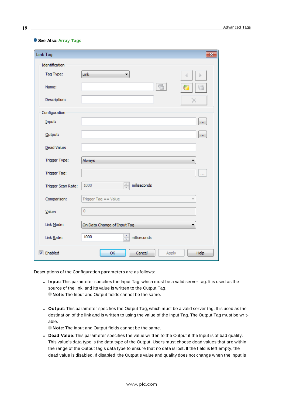| Link Tag           | ×                                                  |
|--------------------|----------------------------------------------------|
| Identification     |                                                    |
| Tag Type:          | Link<br>▼<br>Ь                                     |
| Name:              |                                                    |
| Description:       | ↗                                                  |
| Configuration      |                                                    |
| Input:             | $\cdots$                                           |
| Output:            | $\cdots$                                           |
| Dead Value:        |                                                    |
| Trigger Type:      | Always                                             |
| Trigger Tag:       | $\cdots$                                           |
| Trigger Scan Rate: | $\frac{1}{\sqrt{2\pi}}$<br>milliseconds<br>1000    |
| Comparison:        | Trigger Tag $==$ Value<br>$\overline{\phantom{a}}$ |
| $Value$            | 0                                                  |
| Link Mode:         | On Data Change of Input Tag                        |
| Link Rate:         | $\frac{1}{\sqrt{2}}$<br>1000<br>milliseconds       |
| <b>7</b> Enabled   | OK<br>Cancel<br>Help<br>Apply                      |

#### **See Also: Array Tags**

Descriptions of the Configuration parameters are as follows:

- Input: This parameter specifies the Input Tag, which must be a valid server tag. It is used as the source of the link, and its value is written to the Output Tag. **Note:** The Input and Output fields cannot be the same.
- <sup>l</sup> **Output:** This parameter specifies the Output Tag, which must be a valid server tag. It is used as the destination of the link and is written to using the value of the Input Tag. The Output Tag must be writable.

**Note:** The Input and Output fields cannot be the same.

**.** Dead Value: This parameter specifies the value written to the Output if the Input is of bad quality. This value's data type is the data type of the Output. Users must choose dead values that are within the range of the Output tag's data type to ensure that no data is lost. If the field is left empty, the dead value is disabled. If disabled, the Output's value and quality does not change when the Input is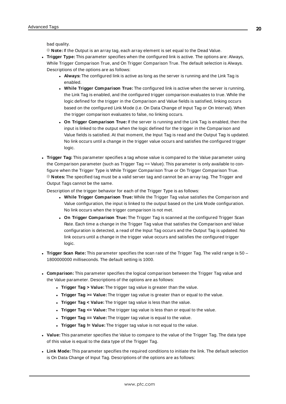bad quality.

**Note:** If the Output is an array tag, each array element is set equal to the Dead Value.

- <sup>l</sup> **Trigger Type:** This parameter specifies when the configured link is active. The options are: Always, While Trigger Comparison True, and On Trigger Comparison True. The default selection is Always. Descriptions of the options are as follows:
	- **Always:** The configured link is active as long as the server is running and the Link Tag is enabled.
	- <sup>l</sup> **While Trigger Comparison True:** The configured link is active when the server is running, the Link Tag is enabled, and the configured trigger comparison evaluates to true. While the logic defined for the trigger in the Comparison and Value fields is satisfied, linking occurs based on the configured Link Mode (i.e. On Data Change of Input Tag or On Interval). When the trigger comparison evaluates to false, no linking occurs.
	- <sup>l</sup> **On Trigger Comparison True:** If the server is running and the Link Tag is enabled, then the input is linked to the output when the logic defined for the trigger in the Comparison and Value fields is satisfied. At that moment, the Input Tag is read and the Output Tag is updated. No link occurs until a change in the trigger value occurs and satisfies the configured trigger logic.
- **Trigger Tag:** This parameter specifies a tag whose value is compared to the Value parameter using the Comparison parameter (such as Trigger Tag == Value). This parameter is only available to configure when the Trigger Type is While Trigger Comparison True or On Trigger Comparison True. **Notes:** The specified tag must be a valid server tag and cannot be an array tag. The Trigger and Output Tags cannot be the same.

Description of the trigger behavior for each of the Trigger Type is as follows:

- <sup>l</sup> **While Trigger Comparison True:** While the Trigger Tag value satisfies the Comparison and Value configuration, the input is linked to the output based on the Link Mode configuration. No link occurs when the trigger comparison is not met.
- <sup>l</sup> **On Trigger Comparison True:** The Trigger Tag is scanned at the configured Trigger Scan Rate. Each time a change in the Trigger Tag value that satisfies the Comparison and Value configuration is detected, a read of the Input Tag occurs and the Output Tag is updated. No link occurs until a change in the trigger value occurs and satisfies the configured trigger logic.
- **Trigger Scan Rate:** This parameter specifies the scan rate of the Trigger Tag. The valid range is 50 1800000000 milliseconds. The default setting is 1000.
- <sup>l</sup> **Comparison:** This parameter specifies the logical comparison between the Trigger Tag value and the Value parameter. Descriptions of the options are as follows:
	- **Trigger Tag > Value:** The trigger tag value is greater than the value.
	- <sup>l</sup> **Trigger Tag >= Value:** The trigger tag value is greater than or equal to the value.
	- <sup>l</sup> **Trigger Tag < Value:** The trigger tag value is less than the value.
	- **Trigger Tag <= Value:** The trigger tag value is less than or equal to the value.
	- **Trigger Tag == Value:** The trigger tag value is equal to the value.
	- **Trigger Tag != Value:** The trigger tag value is not equal to the value.
- Value: This parameter specifies the Value to compare to the value of the Trigger Tag. The data type of this value is equal to the data type of the Trigger Tag.
- **Link Mode:** This parameter specifies the required conditions to initiate the link. The default selection is On Data Change of Input Tag. Descriptions of the options are as follows: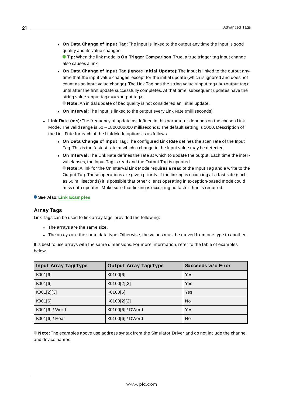<sup>l</sup> **On Data Change of Input Tag:** The input is linked to the output any time the input is good quality and its value changes.

**Tip:** When the link mode is **On Trigger Comparison True**, a true trigger tag input change also causes a link.

- <sup>l</sup> **On Data Change of Input Tag (Ignore Initial Update):** The input is linked to the output anytime that the input value changes, except for the initial update (which is ignored and does not count as an input value change). The Link Tag has the string value <input tag> != <output tag> until after the first update successfully completes. At that time, subsequent updates have the string value <input tag> == <output tag>.
	- **Note:** An initial update of bad quality is not considered an initial update.
- <sup>l</sup> **On Interval:** The input is linked to the output every Link Rate (milliseconds).
- **Link Rate (ms):** The frequency of update as defined in this parameter depends on the chosen Link Mode. The valid range is 50 – 1800000000 milliseconds. The default setting is 1000. Description of the Link Rate for each of the Link Mode options is as follows:
	- <sup>l</sup> **On Data Change of Input Tag:** The configured Link Rate defines the scan rate of the Input Tag. This is the fastest rate at which a change in the Input value may be detected.
	- <sup>l</sup> **On Interval:** The Link Rate defines the rate at which to update the output. Each time the interval elapses, the Input Tag is read and the Output Tag is updated.

**Note:** A link for the On Interval Link Mode requires a read of the Input Tag and a write to the Output Tag. These operations are given priority. If the linking is occurring at a fast rate (such as 50 milliseconds) it is possible that other clients operating in exception-based mode could miss data updates. Make sure that linking is occurring no faster than is required.

#### **See Also: Link [Examples](#page-21-1)**

#### **Array Tags**

Link Tags can be used to link array tags, provided the following:

- The arrays are the same size.
- The arrays are the same data type. Otherwise, the values must be moved from one type to another.

It is best to use arrays with the same dimensions. For more information, refer to the table of examples below.

| <b>Input Array Tag/Type</b> | <b>Output Array Tag/Type</b> | Succeeds w/o Error |
|-----------------------------|------------------------------|--------------------|
| K001[6]                     | K0100[6]                     | Yes                |
| K001[6]                     | K0100[2][3]                  | Yes                |
| K001[2][3]                  | K0100[6]                     | Yes                |
| K001[6]                     | K0100[2][2]                  | No.                |
| K001[6] / Word              | K0100[6] / DWord             | Yes                |
| K001[6] / Float             | K0100[6] / DWord             | <b>No</b>          |

**Note:** The examples above use address syntax from the Simulator Driver and do not include the channel and device names.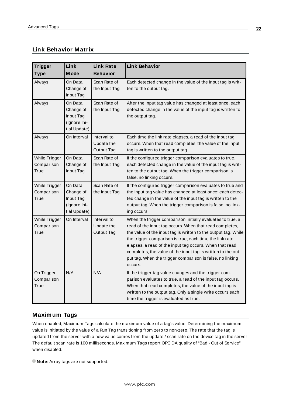# <span id="page-21-1"></span>**Link Behavior Matrix**

| <b>Trigger</b><br><b>Type</b>       | Link<br>M ode                                                     | <b>Link Rate</b><br><b>Behavior</b>                   | <b>Link Behavior</b>                                                                                                                                                                                                                                                                                                                                                                                                                                  |
|-------------------------------------|-------------------------------------------------------------------|-------------------------------------------------------|-------------------------------------------------------------------------------------------------------------------------------------------------------------------------------------------------------------------------------------------------------------------------------------------------------------------------------------------------------------------------------------------------------------------------------------------------------|
| Always                              | On Data<br>Change of<br>Input Tag                                 | Scan Rate of<br>the Input Tag                         | Each detected change in the value of the input tag is writ-<br>ten to the output tag.                                                                                                                                                                                                                                                                                                                                                                 |
| Always                              | On Data<br>Change of<br>Input Tag<br>(Ignore Ini-<br>tial Update) | Scan Rate of<br>the Input Tag                         | After the input tag value has changed at least once, each<br>detected change in the value of the input tag is written to<br>the output tag.                                                                                                                                                                                                                                                                                                           |
| Always                              | On Interval                                                       | Interval to<br>Update the<br>Output Tag               | Each time the link rate elapses, a read of the input tag<br>occurs. When that read completes, the value of the input<br>tag is written to the output tag.                                                                                                                                                                                                                                                                                             |
| While Trigger<br>Comparison<br>True | On Data<br>Change of<br>Input Tag                                 | Scan Rate of<br>the Input Tag                         | If the configured trigger comparison evaluates to true,<br>each detected change in the value of the input tag is writ-<br>ten to the output tag. When the trigger comparison is<br>false, no linking occurs.                                                                                                                                                                                                                                          |
| While Trigger<br>Comparison<br>True | On Data<br>Change of<br>Input Tag<br>(Ignore Ini-<br>tial Update) | Scan Rate of<br>the Input Tag                         | If the configured trigger comparison evaluates to true and<br>the input tag value has changed at least once; each detec-<br>ted change in the value of the input tag is written to the<br>output tag. When the trigger comparison is false, no link-<br>ing occurs.                                                                                                                                                                                   |
| While Trigger<br>Comparison<br>True | On Interval                                                       | Interval to<br><b>Update the</b><br><b>Output Tag</b> | When the trigger comparison initially evaluates to true, a<br>read of the input tag occurs. When that read completes,<br>the value of the input tag is written to the output tag. While<br>the trigger comparison is true, each time the link rate<br>elapses, a read of the input tag occurs. When that read<br>completes, the value of the input tag is written to the out-<br>put tag. When the trigger comparison is false, no linking<br>occurs. |
| On Trigger<br>Comparison<br>True    | N/A                                                               | N/A                                                   | If the trigger tag value changes and the trigger com-<br>parison evaluates to true, a read of the input tag occurs.<br>When that read completes, the value of the input tag is<br>written to the output tag. Only a single write occurs each<br>time the trigger is evaluated as true.                                                                                                                                                                |

# <span id="page-21-0"></span>**Maximum Tags**

When enabled, Maximum Tags calculate the maximum value of a tag's value. Determining the maximum value is initiated by the value of a Run Tag transitioning from zero to non-zero. The rate that the tag is updated from the server with a new value comes from the update / scan rate on the device tag in the server. The default scan rate is 100 milliseconds. Maximum Tags report OPC DA quality of "Bad - Out of Service" when disabled.

**Note:** Array tags are not supported.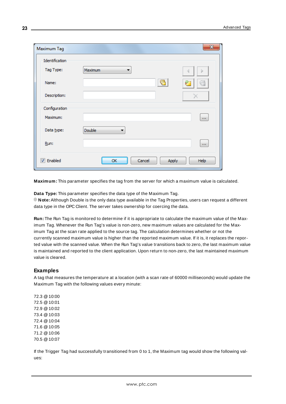| Maximum Tag      |                    | $\mathbf{x}$  |
|------------------|--------------------|---------------|
| Identification   |                    |               |
| Tag Type:        | Maximum<br>▼       |               |
| Name:            | ₹                  | ô.            |
| Description:     |                    |               |
| Configuration    |                    |               |
| Maximum:         |                    | $\mathbf{r}$  |
| Data type:       | <b>Double</b><br>▼ |               |
| Run:             |                    | $\mathbf{r}$  |
| <b>V</b> Enabled | Cancel<br>ОК       | Apply<br>Help |

**Maximum:** This parameter specifies the tag from the server for which a maximum value is calculated.

**Data Type:** This parameter specifies the data type of the Maximum Tag. **Note:** Although Double is the only data type available in the Tag Properties, users can request a different data type in the OPC Client. The server takes ownership for coercing the data.

**Run:** The Run Tag is monitored to determine if it is appropriate to calculate the maximum value of the Maximum Tag. Whenever the Run Tag's value is non-zero, new maximum values are calculated for the Maximum Tag at the scan rate applied to the source tag. The calculation determines whether or not the currently scanned maximum value is higher than the reported maximum value. If it is, it replaces the reported value with the scanned value. When the Run Tag's value transitions back to zero, the last maximum value is maintained and reported to the client application. Upon return to non-zero, the last maintained maximum value is cleared.

#### **Examples**

A tag that measures the temperature at a location (with a scan rate of 60000 milliseconds) would update the Maximum Tag with the following values every minute:

72.3 @10:00 72.5 @10:01 72.9 @10:02 73.4 @10:03 72.4 @10:04 71.6 @10:05 71.2 @10:06 70.5 @10:07

If the Trigger Tag had successfully transitioned from 0 to 1, the Maximum tag would show the following values: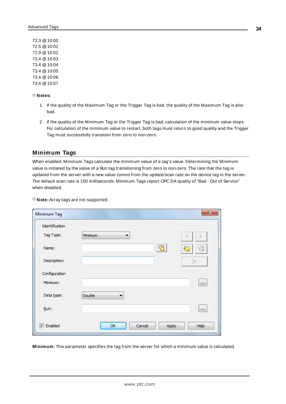72.3 @10:00 72.5 @10:01 72.9 @10:02 73.4 @10:03 73.4 @10:04 73.4 @10:05 73.4 @10:06 73.4 @10:07

#### **Notes:**

- 1. If the quality of the Maximum Tag or the Trigger Tag is bad, the quality of the Maximum Tag is also bad.
- 2. If the quality of the Minimum Tag or the Trigger Tag is bad, calculation of the minimum value stops. For calculation of the minimum value to restart, both tags must return to good quality and the Trigger Tag must successfully transition from zero to non-zero.

### <span id="page-23-0"></span>**Minimum Tags**

When enabled, Minimum Tags calculate the minimum value of a tag's value. Determining the Minimum value is initiated by the value of a Run tag transitioning from zero to non-zero. The rate that the tag is updated from the server with a new value comes from the update/scan rate on the device tag in the server. The default scan rate is 100 milliseconds. Minimum Tags report OPC DA quality of "Bad - Out of Service" when disabled.

| Minimum Tag      |                       | $\mathbf{x}$                  |
|------------------|-----------------------|-------------------------------|
| Identification   |                       |                               |
| Tag Type:        | Minimum<br>▼          | 4                             |
| Name:            |                       | e<br>$\overline{\mathcal{C}}$ |
| Description:     |                       |                               |
| Configuration    |                       |                               |
| Minimum:         |                       | <b>ALC</b>                    |
| Data type:       | Double                |                               |
| Run:             |                       | $\mathbf{r}$                  |
| <b>V</b> Enabled | Cancel<br>OK<br>Apply | Help                          |

**Note:** Array tags are not supported.

**Minimum:** This parameter specifies the tag from the server for which a minimum value is calculated.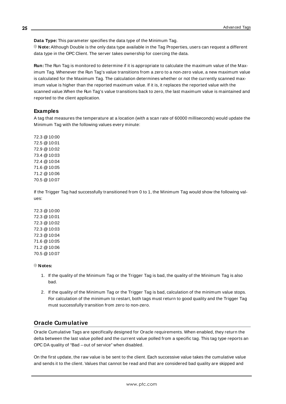**Data Type:** This parameter specifies the data type of the Minimum Tag.

**Note:** Although Double is the only data type available in the Tag Properties, users can request a different data type in the OPC Client. The server takes ownership for coercing the data.

**Run:** The Run Tag is monitored to determine if it is appropriate to calculate the maximum value of the Maximum Tag. Whenever the Run Tag's value transitions from a zero to a non-zero value, a new maximum value is calculated for the Maximum Tag. The calculation determines whether or not the currently scanned maximum value is higher than the reported maximum value. If it is, it replaces the reported value with the scanned value.When the Run Tag's value transitions back to zero, the last maximum value is maintained and reported to the client application.

# **Examples**

A tag that measures the temperature at a location (with a scan rate of 60000 milliseconds) would update the Minimum Tag with the following values every minute:

72.3 @10:00 72.5 @10:01 72.9 @10:02 73.4 @10:03 72.4 @10:04 71.6 @10:05 71.2 @10:06 70.5 @10:07

If the Trigger Tag had successfully transitioned from 0 to 1, the Minimum Tag would show the following values:

72.3 @10:00 72.3 @10:01 72.3 @10:02 72.3 @10:03 72.3 @10:04 71.6 @10:05 71.2 @10:06 70.5 @10:07

**Notes:**

- 1. If the quality of the Minimum Tag or the Trigger Tag is bad, the quality of the Minimum Tag is also bad.
- 2. If the quality of the Minimum Tag or the Trigger Tag is bad, calculation of the minimum value stops. For calculation of the minimum to restart, both tags must return to good quality and the Trigger Tag must successfully transition from zero to non-zero.

# <span id="page-24-0"></span>**Oracle Cumulative**

Oracle Cumulative Tags are specifically designed for Oracle requirements. When enabled, they return the delta between the last value polled and the current value polled from a specific tag. This tag type reports an OPC DA quality of "Bad – out of service" when disabled.

On the first update, the raw value is be sent to the client. Each successive value takes the cumulative value and sends it to the client. Values that cannot be read and that are considered bad quality are skipped and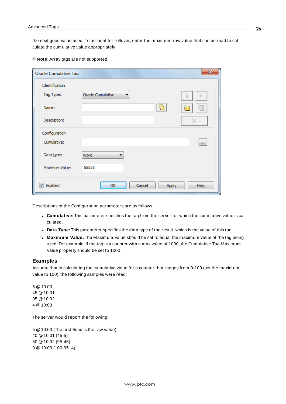the next good value used. To account for rollover, enter the maximum raw value that can be read to calculate the cumulative value appropriately.

**Note:** Array tags are not supported.

| <b>Oracle Cumulative Tag</b> |                       | $\mathbf{x}$ |
|------------------------------|-----------------------|--------------|
| Identification               |                       |              |
| Tag Type:                    | Orade Cumulative      |              |
| Name:                        | 87                    |              |
| Description:                 |                       |              |
| Configuration                |                       |              |
| Cumulative:                  |                       | in i         |
| Data type:                   | Word                  |              |
| Maximum Value:               | 65535                 |              |
| <b>V</b> Enabled             | Cancel<br>OK<br>Apply | Help         |

Descriptions of the Configuration parameters are as follows:

- <sup>l</sup> **Cumulative:** This parameter specifies the tag from the server for which the cumulative value is calculated.
- **.** Data Type: This parameter specifies the data type of the result, which is the value of this tag.
- **Maximum Value:** The Maximum Value should be set to equal the maximum value of the tag being used. For example, if the tag is a counter with a max value of 1000, the Cumulative Tag Maximum Value property should be set to 1000.

### **Examples**

Assume that in calculating the cumulative value for a counter that ranges from 0-100 (set the maximum value to 100), the following samples were read:

5 @10:00 45 @10:01 95 @10:02 4 @10:03

The server would report the following:

 @10:00 (The first Read is the raw value) @10:01 (45-5) @10:02 (95-45) @10:03 (100-95+4)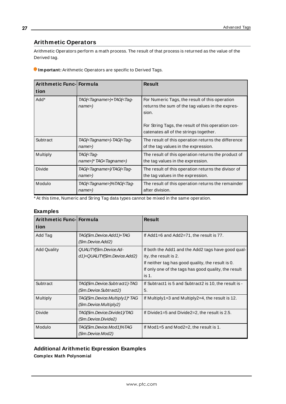# <span id="page-26-0"></span>**Arithmetic Operators**

Arithmetic Operators perform a math process. The result of that process is returned as the value of the Derived tag.

| Important: Arithmetic Operators are specific to Derived Tags. |  |  |
|---------------------------------------------------------------|--|--|
|                                                               |  |  |

| Arithmetic Func- Formula<br>tion |                                                            | <b>Result</b>                                                                                                                                                                                               |
|----------------------------------|------------------------------------------------------------|-------------------------------------------------------------------------------------------------------------------------------------------------------------------------------------------------------------|
| Add*                             | TAG( <tagname>)+TAG(<tag-<br>name</tag-<br></tagname>      | For Numeric Tags, the result of this operation<br>returns the sum of the tag values in the expres-<br>sion.<br>For String Tags, the result of this operation con-<br>catenates all of the strings together. |
| Subtract                         | TAG( <tagname>)-TAG(<tag-<br>name</tag-<br></tagname>      | The result of this operation returns the difference<br>of the tag values in the expression.                                                                                                                 |
| Multiply                         | TAG( <tag-<br>name&gt;)* TAG<tagname>)</tagname></tag-<br> | The result of this operation returns the product of<br>the tag values in the expression.                                                                                                                    |
| <b>Divide</b>                    | TAG( <tagname>)/TAG(<tag-<br>name</tag-<br></tagname>      | The result of this operation returns the divisor of<br>the tag values in the expression.                                                                                                                    |
| Modulo                           | TAG( <tagname>)%TAG(<tag-<br>name&gt;)</tag-<br></tagname> | The result of this operation returns the remainder<br>after division.                                                                                                                                       |

\* At this time, Numeric and String Tag data types cannot be mixed in the same operation.

# **Examples**

| Arithmetic Func- Formula |                                                          | <b>Result</b>                                                                                                                                                                                     |
|--------------------------|----------------------------------------------------------|---------------------------------------------------------------------------------------------------------------------------------------------------------------------------------------------------|
| tion                     |                                                          |                                                                                                                                                                                                   |
| Add Tag                  | TAG(Sim.Device.Add1)+TAG<br>(Sim.Device.Add2)            | If Add1=6 and Add2=71, the result is $77$ .                                                                                                                                                       |
| <b>Add Quality</b>       | QUALITY(Sim.Device.Ad-<br>d1)+QUALITY(Sim.Device.Add2)   | If both the Add1 and the Add2 tags have good qual-<br>ity, the result is 2.<br>If neither tag has good quality, the result is 0.<br>If only one of the tags has good quality, the result<br>is 1. |
| Subtract                 | TAG(Sim.Device.Subtract1)-TAG<br>(Sim.Device.Subtract2)  | If Subtract1 is 5 and Subtract2 is 10, the result is -<br>5.                                                                                                                                      |
| Multiply                 | TAG(Sim.Device.Multiply1)* TAG<br>(Sim.Device.Multiply2) | If Multiply $1=3$ and Multiply $2=4$ , the result is 12.                                                                                                                                          |
| <b>Divide</b>            | TAG(Sim.Device.Divide1)/TAG<br>(Sm.Device.Divide2)       | If Divide $1=5$ and Divide $2=2$ , the result is 2.5.                                                                                                                                             |
| Modulo                   | TAG(Sim.Device.Mod 1 )%TAG<br>(Sim.Device.Mod2)          | If Mod1=5 and Mod2=2, the result is 1.                                                                                                                                                            |

# **Additional Arithmetic Expression Examples**

**Complex Math Polynomial**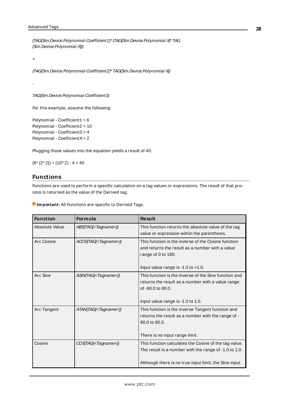(TAG(Sim.Device.Polynomial-Coefficient1)\*(TAG(Sim.Device.Polynomial-X)\* TAG (Sim.Device.Polynomial-X)))

+

-

(TAG(Sim.Device.Polynomial-Coefficient2)\* TAG(Sim.Device.Polynomial-X))

TAG(Sim.Device.Polynomial-Coefficient3)

For this example, assume the following:

Polynomial - Coefficient1 = 6 Polynomial - Coefficient2 = 10 Polynomial - Coefficient3 = 4 Polynomial - CoefficientX= 2

Plugging those values into the equation yields a result of 40.

<span id="page-27-0"></span> $(6*(2*2)) + (10*2) - 4 = 40$ 

# **Functions**

Functions are used to perform a specific calculation on a tag values or expressions. The result of that process is returned as the value of the Derived tag.

**Important:** All Functions are specific to Derived Tags.

| <b>Function</b> | <b>Formula</b>                  | <b>Result</b>                                                                                                                                                           |
|-----------------|---------------------------------|-------------------------------------------------------------------------------------------------------------------------------------------------------------------------|
| Absolute Value  | ABS(TAG( <tagname>))</tagname>  | This function returns the absolute value of the tag<br>value or expression within the parenthesis.                                                                      |
| Arc Cosine      | ACOS(TAG( <tagname>))</tagname> | This function is the inverse of the Cosine function<br>and returns the result as a number with a value<br>range of 0 to 180.<br>Input value range is -1.0 to +1.0.      |
| Arc Sine        | ASIN(TAG( <tagname>))</tagname> | This function is the inverse of the Sine function and<br>returns the result as a number with a value range<br>of -90.0 to 90.0.<br>Input value range is -1.0 to 1.0.    |
| Arc Tangent     | ATAN(TAG( <tagname>))</tagname> | This function is the inverse Tangent function and<br>returns the result as a number with the range of -<br>90.0 to 90.0.<br>There is no input range limit.              |
| Cosine          | COS(TAG( <tagname>))</tagname>  | This function calculates the Cosine of the tag value.<br>The result is a number with the range of -1.0 to 1.0.<br>Although there is no true input limit, the Sine input |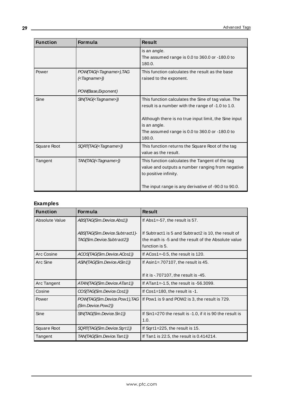| <b>Function</b> | <b>Formula</b>                                                                                                          | <b>Result</b>                                                                                                                                                                                                                                 |
|-----------------|-------------------------------------------------------------------------------------------------------------------------|-----------------------------------------------------------------------------------------------------------------------------------------------------------------------------------------------------------------------------------------------|
|                 |                                                                                                                         | is an angle.<br>The assumed range is 0.0 to 360.0 or -180.0 to<br>180.0.                                                                                                                                                                      |
| Power           | POW(TAG( <tagname>), TAG<br/><math>\left(\langle \text{Tagname:}\right)\right)</math><br/>POW(Base, Exponent)</tagname> | This function calculates the result as the base<br>raised to the exponent.                                                                                                                                                                    |
| Sine            | SIN(TAG( <tagname>))</tagname>                                                                                          | This function calculates the Sine of tag value. The<br>result is a number with the range of -1.0 to 1.0.<br>Although there is no true input limit, the Sine input<br>is an angle.<br>The assumed range is 0.0 to 360.0 or -180.0 to<br>180.0. |
| Square Root     | SQRT(TAG( <tagname>))</tagname>                                                                                         | This function returns the Square Root of the tag<br>value as the result.                                                                                                                                                                      |
| Tangent         | TAN(TAG( <tagname>))</tagname>                                                                                          | This function calculates the Tangent of the tag<br>value and outputs a number ranging from negative<br>to positive infinity.<br>The input range is any derivative of -90.0 to 90.0.                                                           |

<u> 1980 - Johann Barn, mars an t-Amerikaansk kommunister (</u>

# **Examples**

| <b>Function</b> | <b>Formula</b>                 | <b>Result</b>                                             |
|-----------------|--------------------------------|-----------------------------------------------------------|
| Absolute Value  | ABS(TAG(Sim.Device.Abs1))      | If $Abs1 = -57$ , the result is 57.                       |
|                 |                                |                                                           |
|                 | ABS(TAG(Sim.Device.Subtract1)- | If Subtract1 is 5 and Subtract2 is 10, the result of      |
|                 | TAG(Sim.Device.Subtract2))     | the math is -5 and the result of the Absolute value       |
|                 |                                | function is 5.                                            |
| Arc Cosine      | ACOS(TAG(Sim.Device.ACos1))    | If ACos1=-0.5, the result is 120.                         |
| Arc Sine        | ASIN(TAG(Sim.Device.ASin1))    | If Asin1=.707107, the result is 45.                       |
|                 |                                |                                                           |
|                 |                                | If it is $-707107$ , the result is $-45$ .                |
| Arc Tangent     | ATAN(TAG(Sim.Device.ATan1))    | If $ATan1 = -1.5$ , the result is $-56.3099$ .            |
| Cosine          | COS(TAG(Sim.Device.Cos1))      | If $Cos1 = 180$ , the result is $-1$ .                    |
| Power           | POW(TAG(Sim.Device.Pow1), TAG  | If Pow1 is 9 and POW2 is 3, the result is 729.            |
|                 | (Sim.Device.Pow2))             |                                                           |
| Sine            | SIN(TAG(Sim.Device.Sin1))      | If Sin1=270 the result is -1.0, if it is 90 the result is |
|                 |                                | 1.0.                                                      |
| Square Root     | SQRT(TAG(Sim.Device.Sqrt1))    | If Sqrt1=225, the result is 15.                           |
| Tangent         | TAN(TAG(Sim.Device.Tan1))      | If Tan1 is 22.5, the result is 0.414214.                  |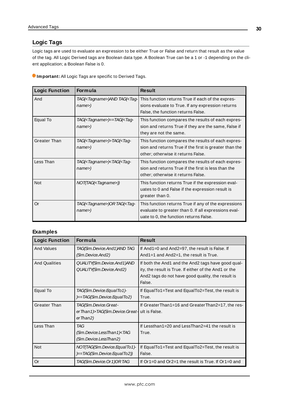# <span id="page-29-0"></span>**Logic Tags**

Logic tags are used to evaluate an expression to be either True or False and return that result as the value of the tag. All Logic Derived tags are Boolean data type. A Boolean True can be a 1 or -1 depending on the client application; a Boolean False is 0.

**Important:** All Logic Tags are specific to Derived Tags.

| <b>Logic Function</b> | <b>Formula</b>                                                           | <b>Result</b>                                                                                                                                          |
|-----------------------|--------------------------------------------------------------------------|--------------------------------------------------------------------------------------------------------------------------------------------------------|
| And                   | TAG( <tagname>)AND TAG(<tag-<br><math>name</math>)</tag-<br></tagname>   | This function returns True if each of the expres-<br>sions evaluate to True. If any expression returns<br>False, the function returns False.           |
| Equal To              | TAG( <tagname>)==TAG(<tag-<br>name&gt;)</tag-<br></tagname>              | This function compares the results of each expres-<br>sion and returns True if they are the same, False if<br>they are not the same.                   |
| <b>Greater Than</b>   | TAG( <tagname>)&gt;TAG(<tag-<br>name&gt;)</tag-<br></tagname>            | This function compares the results of each expres-<br>sion and returns True if the first is greater than the<br>other; otherwise it returns False.     |
| Less Than             | TAG( <tagname>)<tag(<tag-<br><math>name</math>)</tag(<tag-<br></tagname> | This function compares the results of each expres-<br>sion and returns True if the first is less than the<br>other; otherwise it returns False.        |
| <b>Not</b>            | NOT(TAG( <tagname>))</tagname>                                           | This function returns True if the expression eval-<br>uates to 0 and False if the expression result is<br>greater than 0.                              |
| Or                    | TAG( <tagname>)ORTAG(<tag-<br><math>name</math>)</tag-<br></tagname>     | This function returns True if any of the expressions<br>evaluate to greater than 0. If all expressions eval-<br>uate to 0, the function returns False. |

### **Examples**

| <b>Logic Function</b> | Formula                                                                            | <b>Result</b>                                                                                                                                                               |
|-----------------------|------------------------------------------------------------------------------------|-----------------------------------------------------------------------------------------------------------------------------------------------------------------------------|
| <b>And Values</b>     | TAG(Sim.Device.And 1 )AND TAG<br>(Sim.Device.And2)                                 | If And 1=0 and And 2=97, the result is False. If<br>And 1=1 and And 2=1, the result is True.                                                                                |
| <b>And Qualities</b>  | QUALITY(Sim.Device.And1)AND<br>QUALITY(Sim.Device.And2)                            | If both the And1 and the And2 tags have good qual-<br>ity, the result is True. If either of the And1 or the<br>And 2 tags do not have good quality, the result is<br>False. |
| Equal To              | TAG(Sim.Device.EqualTo1)-<br>)=TAG(Sim.Device.EqualTo2)                            | If EqualTo1=Test and EqualTo2=Test, the result is<br>True.                                                                                                                  |
| Greater Than          | TAG(Sim.Device.Great-<br>er Than 1)>TAG(Sim.Device.Great-<br>$er \, \text{Than2)}$ | If Greater Than1=16 and Greater Than2=17, the res-<br>ult is False.                                                                                                         |
| Less Than             | TAG.<br>$(Sm)$ Device.LessThan1 $\lt$ TAG<br>(Sim.Device.LessThan2)                | If Lessthan1=20 and LessThan2=41 the result is<br>True.                                                                                                                     |
| Not                   | NOT(TAG(Sim.Device.EqualTo1)-<br>)=TAG(Sim.Device.EqualTo2))                       | If EqualTo1=Test and EqualTo2=Test, the result is<br>False.                                                                                                                 |
| Or                    | TAG(Sim.Device.Or1)ORTAG                                                           | If Or1=0 and Or2=1 the result is True. If Or1=0 and                                                                                                                         |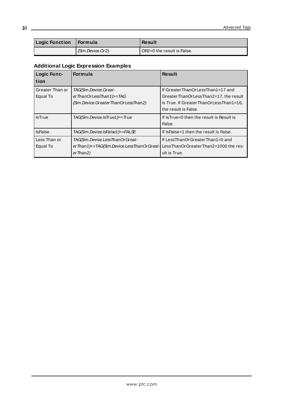| <b>Logic Function</b> | ⊟ Formula        | <b>Result</b>                |
|-----------------------|------------------|------------------------------|
|                       | (Sim.Device.Or2) | l OR2=0 the result is False. |

# **Additional Logic Expression Examples**

| Logic Func-<br>tion         | <b>Formula</b>                                                                                 | <b>Result</b>                                                                                                                                 |
|-----------------------------|------------------------------------------------------------------------------------------------|-----------------------------------------------------------------------------------------------------------------------------------------------|
| Greater Than or<br>Equal To | TAG(Sim.Device.Great-<br>er Than Or Less Than 1 > = TAG<br>(Sim.Device.GreaterThanOrLessThan2) | If GreaterThanOrLessThan1=17 and<br>GreaterThanOrLessThan2=17, the result<br>is True. If Greater ThanOrLess Than1=16,<br>the result is False. |
| <b>IsTrue</b>               | TAG(Sim.Device.IsTrue1)=True                                                                   | If Is True=0 then the result is Result is<br>False.                                                                                           |
| <b>IsFalse</b>              | TAG(Sim.Device.IsFaIse1)=FALSE                                                                 | If IsFalse=1 then the result is False.                                                                                                        |
| Less Than or<br>Equal To    | TAG(Sim.Device.LessThanOrGreat-<br>erThan1)<=TAG(Sim.Device.LessThanOrGreat-<br>er Than2)      | If LessThanOrGreaterThan1=0 and<br>LessThanOrGreaterThan2=1000 the res-<br>ult is True.                                                       |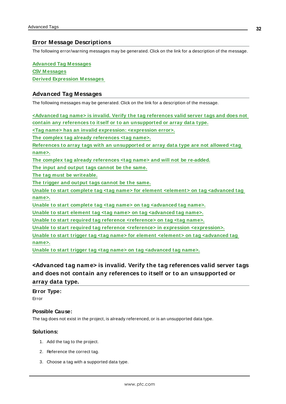# <span id="page-31-0"></span>**Error Message Descriptions**

The following error/warning messages may be generated. Click on the link for a description of the message.

**Advanced Tag [M essages](#page-31-1) CSV [M essages](#page-35-2) Derived Expression [M essages](#page-41-0)**

# <span id="page-31-1"></span>**Advanced Tag Messages**

The following messages may be generated. Click on the link for a description of the message.

**[<Advanced](#page-31-2) tag name> is invalid. Verify the tag references valid server tags and does not contain any references to itself or to an [unsupported](#page-31-2) or array data type. <Tag name> has an invalid expression: [<expression](#page-32-0) error>. The complex tag already [references](#page-32-2) <tag name>. References to array tags with an [unsupported](#page-32-1) or array data type are not allowed <tag [name>.](#page-32-1) The complex tag already [references](#page-32-2) <tag name> and will not be re-added. The input and output tags [cannot](#page-32-3) be the same. The tag must be [writeable.](#page-33-0) The trigger and output tags [cannot](#page-33-1) be the same. Unable to start complete tag <tag name> for element <element> on tag [<advanced](#page-33-2) tag [name>.](#page-33-2) Unable to start complete tag <tag name> on tag [<advanced](#page-33-3) tag name>. Unable to start element tag <tag name> on tag [<advanced](#page-34-0) tag name>. Unable to start required tag reference [<reference>](#page-34-1) on tag <tag name>. Unable to start required tag reference <reference> in expression [<expression>.](#page-34-2) Unable to start trigger tag <tag name> for element <element> on tag [<advanced](#page-35-0) tag [name>.](#page-35-0) Unable to start trigger tag <tag name> on tag [<advanced](#page-35-1) tag name>.**

# <span id="page-31-2"></span>**<Advanced tag name> is invalid. Verify the tag references valid server tags and does not contain any references to itself or to an unsupported or array data type.**

### **Error Type:**

Error

### **Possible Cause:**

The tag does not exist in the project, is already referenced, or is an unsupported data type.

### **Solutions:**

- 1. Add the tag to the project.
- 2. Reference the correct tag.
- 3. Choose a tag with a supported data type.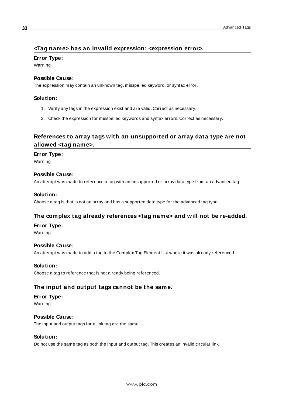# <span id="page-32-0"></span>**<Tag name> has an invalid expression: <expression error>.**

**Error Type:**

Warning

### **Possible Cause:**

The expression may contain an unknown tag, misspelled keyword, or syntax error.

### **Solution:**

- 1. Verify any tags in the expression exist and are valid. Correct as necessary.
- 2. Check the expression for misspelled keywords and syntax errors. Correct as necessary.

# <span id="page-32-1"></span>**References to array tags with an unsupported or array data type are not allowed <tag name>.**

### **Error Type:**

Warning

### **Possible Cause:**

An attempt was made to reference a tag with an unsupported or array data type from an advanced tag.

### **Solution:**

<span id="page-32-2"></span>Choose a tag is that is not an array and has a supported data type for the advanced tag type.

# **The complex tag already references <tag name> and will not be re-added.**

### **Error Type:**

Warning

### **Possible Cause:**

An attempt was made to add a tag to the Complex Tag Element List where it was already referenced.

### **Solution:**

<span id="page-32-3"></span>Choose a tag to reference that is not already being referenced.

# **The input and output tags cannot be the same.**

# **Error Type:**

Warning

### **Possible Cause:**

The input and output tags for a link tag are the same.

### **Solution:**

Do not use the same tag as both the input and output tag. This creates an invalid circular link.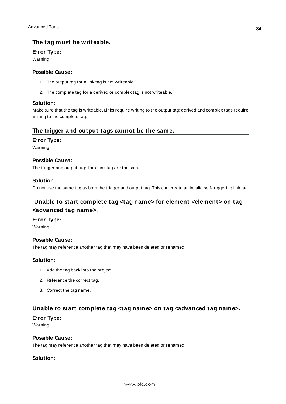# <span id="page-33-0"></span>**The tag must be writeable.**

### **Error Type:**

Warning

### **Possible Cause:**

- 1. The output tag for a link tag is not writeable.
- 2. The complete tag for a derived or complex tag is not writeable.

### **Solution:**

Make sure that the tag is writeable. Links require writing to the output tag; derived and complex tags require writing to the complete tag.

### <span id="page-33-1"></span>**The trigger and output tags cannot be the same.**

### **Error Type:**

Warning

### **Possible Cause:**

The trigger and output tags for a link tag are the same.

### **Solution:**

<span id="page-33-2"></span>Do not use the same tag as both the trigger and output tag. This can create an invalid self-triggering link tag.

# **Unable to start complete tag <tag name> for element <element> on tag <advanced tag name>.**

### **Error Type:**

Warning

### **Possible Cause:**

The tag may reference another tag that may have been deleted or renamed.

### **Solution:**

- 1. Add the tag back into the project.
- 2. Reference the correct tag.
- 3. Correct the tag name.

# <span id="page-33-3"></span>**Unable to start complete tag <tag name> on tag <advanced tag name>.**

### **Error Type:**

Warning

### **Possible Cause:**

The tag may reference another tag that may have been deleted or renamed.

### **Solution:**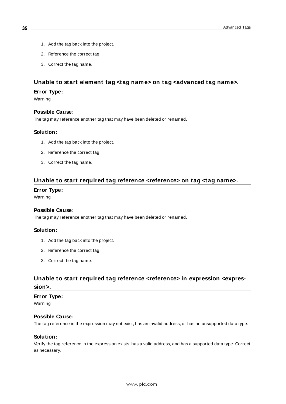- 1. Add the tag back into the project.
- 2. Reference the correct tag.
- 3. Correct the tag name.

# <span id="page-34-0"></span>**Unable to start element tag <tag name> on tag <advanced tag name>.**

### **Error Type:**

Warning

### **Possible Cause:**

The tag may reference another tag that may have been deleted or renamed.

### **Solution:**

- 1. Add the tag back into the project.
- 2. Reference the correct tag.
- 3. Correct the tag name.

### <span id="page-34-1"></span>**Unable to start required tag reference <reference> on tag <tag name>.**

### **Error Type:**

Warning

# **Possible Cause:**

The tag may reference another tag that may have been deleted or renamed.

### **Solution:**

- 1. Add the tag back into the project.
- 2. Reference the correct tag.
- 3. Correct the tag name.

# <span id="page-34-2"></span>**Unable to start required tag reference <reference> in expression <expression>.**

# **Error Type:**

Warning

#### **Possible Cause:**

The tag reference in the expression may not exist, has an invalid address, or has an unsupported data type.

#### **Solution:**

Verify the tag reference in the expression exists, has a valid address, and has a supported data type. Correct as necessary.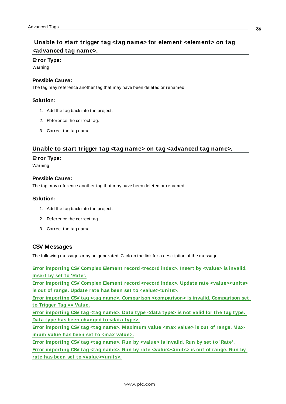# <span id="page-35-0"></span>**Unable to start trigger tag <tag name> for element <element> on tag <advanced tag name>.**

#### **Error Type:**

Warning

### **Possible Cause:**

The tag may reference another tag that may have been deleted or renamed.

### **Solution:**

- 1. Add the tag back into the project.
- 2. Reference the correct tag.
- 3. Correct the tag name.

# <span id="page-35-1"></span>**Unable to start trigger tag <tag name> on tag <advanced tag name>.**

### **Error Type:**

Warning

### **Possible Cause:**

The tag may reference another tag that may have been deleted or renamed.

### **Solution:**

- 1. Add the tag back into the project.
- 2. Reference the correct tag.
- 3. Correct the tag name.

### <span id="page-35-2"></span>**CSV Messages**

The following messages may be generated. Click on the link for a description of the message.

**Error [importing](#page-36-0) CSV Complex Element record <record index>. Insert by <value> is invalid. Insert by set to ['Rate'.](#page-36-0)**

**Error importing CSV Complex Element record <record index>. Update rate [<value><units>](#page-36-1) is out of range. Update rate has been set to [<value><units>.](#page-36-1)**

**Error importing CSV tag <tag name>. Comparison [<comparison>](#page-36-2) is invalid. Comparison set to [Trigger](#page-36-2) Tag == Value.**

**Error [importing](#page-37-0) CSV tag <tag name>. Data type <data type> is not valid for the tag type. Data type has been [changed](#page-37-0) to <data type>.**

**Error importing CSV tag <tag name>. [M aximum](#page-37-1) value <max value> is out of range. M aximum value has been set to <max [value>.](#page-37-1)**

**Error [importing](#page-37-2) CSV tag <tag name>. Run by <value> is invalid. Run by set to 'Rate'. Error importing CSV tag <tag name>. Run by rate [<value><units>](#page-38-0) is out of range. Run by rate has been set to [<value><units>.](#page-38-0)**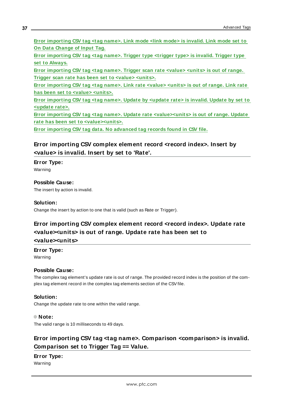**Error [importing](#page-39-0) CSV tag <tag name>. Link mode <link mode> is invalid. Link mode set to On Data [Change](#page-39-0) of Input Tag.**

**Error [importing](#page-39-1) CSV tag <tag name>. Trigger type <trigger type> is invalid. Trigger type set to [Always.](#page-39-1)**

**Error [importing](#page-38-2) CSV tag <tag name>. Trigger scan rate <value> <units> is out of range. Trigger scan rate has been set to <value> [<units>.](#page-38-2)**

**Error [importing](#page-40-0) CSV tag <tag name>. Link rate <value> <units> is out of range. Link rate has been set to <value> [<units>.](#page-40-0)**

**Error [importing](#page-39-2) CSV tag <tag name>. Update by <update rate> is invalid. Update by set to [<update](#page-39-2) rate>.**

**Error importing CSV tag <tag name>. Update rate [<value><units>](#page-40-1) is out of range. Update rate has been set to [<value><units>.](#page-40-1)**

<span id="page-36-0"></span>**Error [importing](#page-40-2) CSV tag data. No advanced tag records found in CSV file.**

**Error importing CSV complex element record <record index>. Insert by <value> is invalid. Insert by set to 'Rate'.**

### **Error Type:**

Warning

### **Possible Cause:**

The insert by action is invalid.

### **Solution:**

<span id="page-36-1"></span>Change the insert by action to one that is valid (such as Rate or Trigger).

# **Error importing CSV complex element record <record index>. Update rate <value><units> is out of range. Update rate has been set to**

### **<value><units>**

**Error Type:**

Warning

### **Possible Cause:**

The complex tag element's update rate is out of range. The provided record index is the position of the complex tag element record in the complex tag elements section of the CSVfile.

### **Solution:**

Change the update rate to one within the valid range.

### **Note:**

<span id="page-36-2"></span>The valid range is 10 milliseconds to 49 days.

# **Error importing CSV tag <tag name>. Comparison <comparison> is invalid. Comparison set to Trigger Tag == Value.**

# **Error Type:**

Warning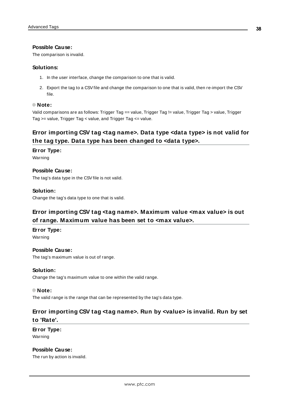### **Possible Cause:**

The comparison is invalid.

#### **Solutions:**

- 1. In the user interface, change the comparison to one that is valid.
- 2. Export the tag to a CSVfile and change the comparison to one that is valid, then re-import the CSV file.

#### **Note:**

Valid comparisons are as follows: Trigger Tag == value, Trigger Tag != value, Trigger Tag > value, Trigger Tag >= value, Trigger Tag < value, and Trigger Tag <= value.

# <span id="page-37-0"></span>**Error importing CSV tag <tag name>. Data type <data type> is not valid for the tag type. Data type has been changed to <data type>.**

### **Error Type:**

Warning

### **Possible Cause:**

The tag's data type in the CSV file is not valid.

### **Solution:**

<span id="page-37-1"></span>Change the tag's data type to one that is valid.

# **Error importing CSV tag <tag name>. Maximum value <max value> is out of range. Maximum value has been set to <max value>.**

#### **Error Type:**

Warning

### **Possible Cause:**

The tag's maximum value is out of range.

### **Solution:**

Change the tag's maximum value to one within the valid range.

#### **Note:**

<span id="page-37-2"></span>The valid range is the range that can be represented by the tag's data type.

# **Error importing CSV tag <tag name>. Run by <value> is invalid. Run by set to 'Rate'.**

# **Error Type:** Warning

# **Possible Cause:**

The run by action is invalid.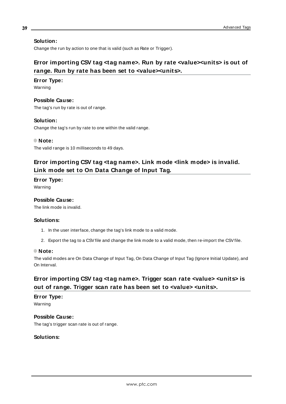### **Solution:**

<span id="page-38-0"></span>Change the run by action to one that is valid (such as Rate or Trigger).

# **Error importing CSV tag <tag name>. Run by rate <value><units> is out of range. Run by rate has been set to <value><units>.**

### **Error Type:**

Warning

# **Possible Cause:**

The tag's run by rate is out of range.

### **Solution:**

Change the tag's run by rate to one within the valid range.

### **Note:**

<span id="page-38-1"></span>The valid range is 10 milliseconds to 49 days.

# **Error importing CSV tag <tag name>. Link mode <link mode> is invalid. Link mode set to On Data Change of Input Tag.**

### **Error Type:**

Warning

# **Possible Cause:**

The link mode is invalid.

### **Solutions:**

- 1. In the user interface, change the tag's link mode to a valid mode.
- 2. Export the tag to a CSV file and change the link mode to a valid mode, then re-import the CSV file.

### **Note:**

The valid modes are On Data Change of Input Tag, On Data Change of Input Tag (Ignore Initial Update), and On Interval.

# <span id="page-38-2"></span>**Error importing CSV tag <tag name>. Trigger scan rate <value> <units> is out of range. Trigger scan rate has been set to <value> <units>.**

### **Error Type:** Warning

**Possible Cause:** The tag's trigger scan rate is out of range.

### **Solutions:**

**39**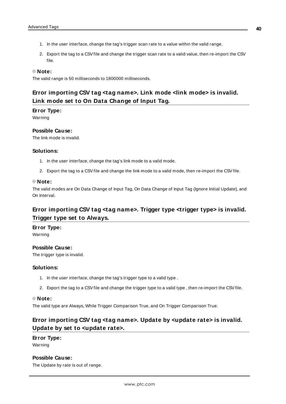- 1. In the user interface, change the tag's trigger scan rate to a value within the valid range.
- 2. Export the tag to a CSVfile and change the trigger scan rate to a valid value, then re-import the CSV file.

### **Note:**

<span id="page-39-0"></span>The valid range is 50 milliseconds to 1800000 milliseconds.

# **Error importing CSV tag <tag name>. Link mode <link mode> is invalid. Link mode set to On Data Change of Input Tag.**

### **Error Type:**

Warning

### **Possible Cause:**

The link mode is invalid.

### **Solutions:**

- 1. In the user interface, change the tag's link mode to a valid mode.
- 2. Export the tag to a CSVfile and change the link mode to a valid mode, then re-import the CSVfile.

#### **Note:**

The valid modes are On Data Change of Input Tag, On Data Change of Input Tag (Ignore Initial Update), and On Interval.

# <span id="page-39-1"></span>**Error importing CSV tag <tag name>. Trigger type <trigger type> is invalid. Trigger type set to Always.**

# **Error Type:**

Warning

### **Possible Cause:**

The trigger type is invalid.

#### **Solutions:**

- 1. In the user interface, change the tag's trigger type to a valid type .
- 2. Export the tag to a CSVfile and change the trigger type to a valid type , then re-import the CSVfile.

#### **Note:**

<span id="page-39-2"></span>The valid type are Always, While Trigger Comparison True, and On Trigger Comparison True.

# **Error importing CSV tag <tag name>. Update by <update rate> is invalid. Update by set to <update rate>.**

### **Error Type:**

Warning

# **Possible Cause:**

The Update by rate is out of range.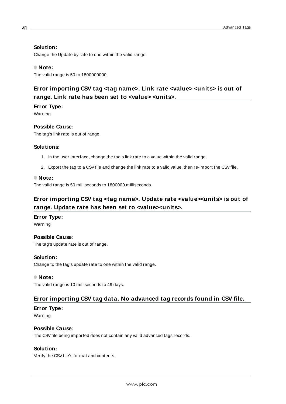# **Solution:**

Change the Update by rate to one within the valid range.

### **Note:**

<span id="page-40-0"></span>The valid range is 50 to 1800000000.

# **Error importing CSV tag <tag name>. Link rate <value> <units> is out of range. Link rate has been set to <value> <units>.**

### **Error Type:**

Warning

### **Possible Cause:**

The tag's link rate is out of range.

#### **Solutions:**

- 1. In the user interface, change the tag's link rate to a value within the valid range.
- 2. Export the tag to a CSVfile and change the link rate to a valid value, then re-import the CSVfile.

#### **Note:**

<span id="page-40-1"></span>The valid range is 50 milliseconds to 1800000 milliseconds.

# **Error importing CSV tag <tag name>. Update rate <value><units> is out of range. Update rate has been set to <value><units>.**

### **Error Type:**

Warning

#### **Possible Cause:**

The tag's update rate is out of range.

### **Solution:**

Change to the tag's update rate to one within the valid range.

#### **Note:**

<span id="page-40-2"></span>The valid range is 10 milliseconds to 49 days.

# **Error importing CSV tag data. No advanced tag records found in CSV file.**

#### **Error Type:**

Warning

# **Possible Cause:**

The CSVfile being imported does not contain any valid advanced tags records.

### **Solution:**

Verify the CSVfile's format and contents.

**41**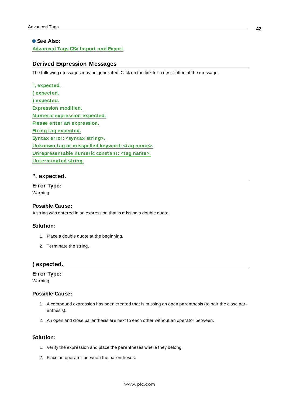### **See Also:**

<span id="page-41-0"></span>**Advanced Tags [CSV Import](#page-5-1) and Export**

### **Derived Expression Messages**

The following messages may be generated. Click on the link for a description of the message.

| ", expected.                                            |
|---------------------------------------------------------|
| (expected.                                              |
| ) expected.                                             |
| <b>Expression modified.</b>                             |
| <b>Numeric expression expected.</b>                     |
| Please enter an expression.                             |
| <b>String tag expected.</b>                             |
| Syntax error: <syntax string="">.</syntax>              |
| Unknown tag or misspelled keyword: <tag name="">.</tag> |
| Unrepresentable numeric constant: <tag name="">.</tag>  |
| Unterminated string.                                    |

# <span id="page-41-1"></span>**", expected.**

**Error Type:** Warning

#### **Possible Cause:**

A string was entered in an expression that is missing a double quote.

#### **Solution:**

- 1. Place a double quote at the beginning.
- 2. Terminate the string.

### <span id="page-41-2"></span>**( expected.**

### **Error Type:**

Warning

### **Possible Cause:**

- 1. A compound expression has been created that is missing an open parenthesis (to pair the close parenthesis).
- 2. An open and close parenthesis are next to each other without an operator between.

### **Solution:**

- 1. Verify the expression and place the parentheses where they belong.
- 2. Place an operator between the parentheses.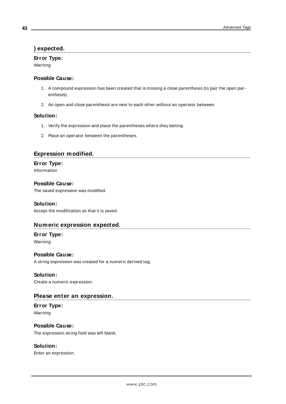# <span id="page-42-0"></span>**) expected.**

### **Error Type:**

Warning

### **Possible Cause:**

- 1. A compound expression has been created that is missing a close parenthesis (to pair the open parenthesis).
- 2. An open and close parenthesis are next to each other without an operator between.

### **Solution:**

- 1. Verify the expression and place the parentheses where they belong.
- 2. Place an operator between the parentheses.

### <span id="page-42-1"></span>**Expression modified.**

### **Error Type:** Information

**Possible Cause:** The saved expression was modified.

### **Solution:**

<span id="page-42-2"></span>Accept the modification so that it is saved.

# **Numeric expression expected.**

### **Error Type:** Warning

# **Possible Cause:**

A string expression was created for a numeric derived tag.

### **Solution:**

<span id="page-42-3"></span>Create a numeric expression.

### **Please enter an expression.**

**Error Type:** Warning

# **Possible Cause:** The expression string field was left blank.

### **Solution:**

Enter an expression.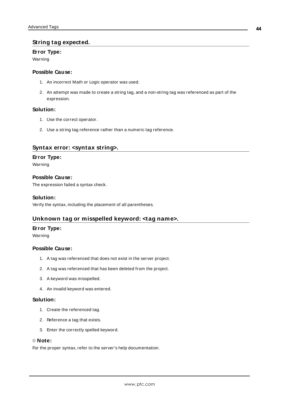# <span id="page-43-0"></span>**String tag expected.**

### **Error Type:**

Warning

### **Possible Cause:**

- 1. An incorrect Math or Logic operator was used.
- 2. An attempt was made to create a string tag, and a non-string tag was referenced as part of the expression.

### **Solution:**

- 1. Use the correct operator.
- 2. Use a string tag reference rather than a numeric tag reference.

### <span id="page-43-1"></span>**Syntax error: <syntax string>.**

### **Error Type:**

Warning

### **Possible Cause:**

The expression failed a syntax check.

### **Solution:**

<span id="page-43-2"></span>Verify the syntax, including the placement of all parentheses.

# **Unknown tag or misspelled keyword: <tag name>.**

### **Error Type:**

Warning

### **Possible Cause:**

- 1. A tag was referenced that does not exist in the server project.
- 2. A tag was referenced that has been deleted from the project.
- 3. A keyword was misspelled.
- 4. An invalid keyword was entered.

### **Solution:**

- 1. Create the referenced tag.
- 2. Reference a tag that exists.
- 3. Enter the correctly spelled keyword.

#### **Note:**

For the proper syntax, refer to the server's help documentation.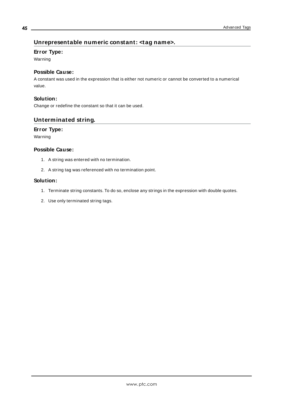# <span id="page-44-0"></span>**Unrepresentable numeric constant: <tag name>.**

### **Error Type:**

Warning

# **Possible Cause:**

A constant was used in the expression that is either not numeric or cannot be converted to a numerical value.

### **Solution:**

<span id="page-44-1"></span>Change or redefine the constant so that it can be used.

### **Unterminated string.**

### **Error Type:**

Warning

### **Possible Cause:**

- 1. A string was entered with no termination.
- 2. A string tag was referenced with no termination point.

### **Solution:**

- 1. Terminate string constants. To do so, enclose any strings in the expression with double quotes.
- 2. Use only terminated string tags.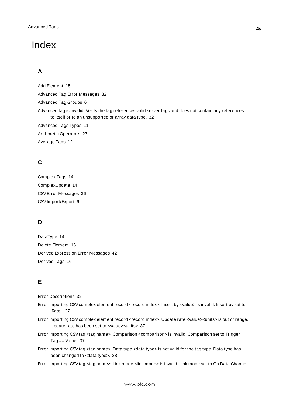# <span id="page-45-0"></span>Index

# **A**

Add Element [15](#page-14-0) Advanced Tag Error Messages [32](#page-31-1) Advanced Tag Groups [6](#page-5-0) Advanced tag is invalid. Verify the tag references valid server tags and does not contain any references to itself or to an unsupported or array data type. [32](#page-31-2) Advanced Tags Types [11](#page-10-0) Arithmetic Operators [27](#page-26-0)

Average Tags [12](#page-11-0)

# **C**

Complex Tags [14](#page-13-0) ComplexUpdate [14](#page-13-1) CSVError Messages [36](#page-35-2) CSV Import/Export [6](#page-5-1)

# **D**

DataType [14](#page-13-1) Delete Element [16](#page-15-1) Derived Expression Error Messages [42](#page-41-0) Derived Tags [16](#page-15-0)

# **E**

Error Descriptions [32](#page-31-0)

- Error importing CSV complex element record <record index>. Insert by <value> is invalid. Insert by set to 'Rate'. [37](#page-36-0)
- Error importing CSV complex element record <record index>. Update rate <value><units> is out of range. Update rate has been set to <value><units> [37](#page-36-1)
- Error importing CSVtag <tag name>. Comparison <comparison> is invalid. Comparison set to Trigger Tag == Value. [37](#page-36-2)
- Error importing CSVtag <tag name>. Data type <data type> is not valid for the tag type. Data type has been changed to <data type>. [38](#page-37-0)

Error importing CSVtag <tag name>. Link mode <link mode> is invalid. Link mode set to On Data Change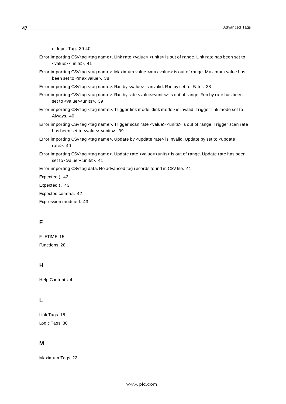of Input Tag. [39-40](#page-38-1)

Error importing CSVtag <tag name>. Link rate <value> <units> is out of range. Link rate has been set to <value> <units>. [41](#page-40-0) Error importing CSVtag <tag name>. Maximum value <max value> is out of range. Maximum value has been set to <max value>. [38](#page-37-1) Error importing CSVtag <tag name>. Run by <value> is invalid. Run by set to 'Rate'. [38](#page-37-2) Error importing CSVtag <tag name>. Run by rate <value><units> is out of range. Run by rate has been set to <value><units>. [39](#page-38-0) Error importing CSVtag <tag name>. Trigger link mode <link mode> is invalid. Trigger link mode set to Always. [40](#page-39-1) Error importing CSVtag <tag name>. Trigger scan rate <value> <units> is out of range. Trigger scan rate has been set to <value> <units>. [39](#page-38-2) Error importing CSVtag <tag name>. Update by <update rate> is invalid. Update by set to <update rate>. [40](#page-39-2) Error importing CSVtag <tag name>. Update rate <value><units> is out of range. Update rate has been set to <value><units>. [41](#page-40-1) Error importing CSV tag data. No advanced tag records found in CSV file. [41](#page-40-2) Expected (. [42](#page-41-2) Expected ) . [43](#page-42-0) Expected comma. [42](#page-41-1) Expression modified. [43](#page-42-1)

# **F**

FILETIME [15](#page-14-1) Functions [28](#page-27-0)

# **H**

Help Contents [4](#page-3-0)

# **L**

Link Tags [18](#page-17-0) Logic Tags [30](#page-29-0)

# **M**

Maximum Tags [22](#page-21-0)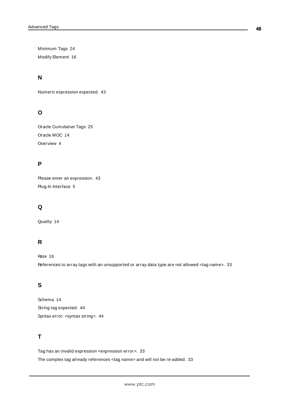Minimum Tags [24](#page-23-0) Modify Element [16](#page-15-2)

# **N**

Numeric expression expected. [43](#page-42-2)

# **O**

Oracle Cumulative Tags [25](#page-24-0) Oracle MOC [14](#page-13-2) Overview [4](#page-3-1)

# **P**

Please enter an expression. [43](#page-42-3) Plug-In Interface [5](#page-4-0)

# **Q**

Quality [14](#page-13-1)

# **R**

Rate [16](#page-15-3)

References to array tags with an unsupported or array data type are not allowed <tag name>. [33](#page-32-1)

# **S**

Schema [14](#page-13-2) String tag expected. [44](#page-43-0) Syntax error: <syntax string>. [44](#page-43-1)

# **T**

Tag has an invalid expression <expression error>. [33](#page-32-0)

The complex tag already references <tag name> and will not be re-added. [33](#page-32-2)